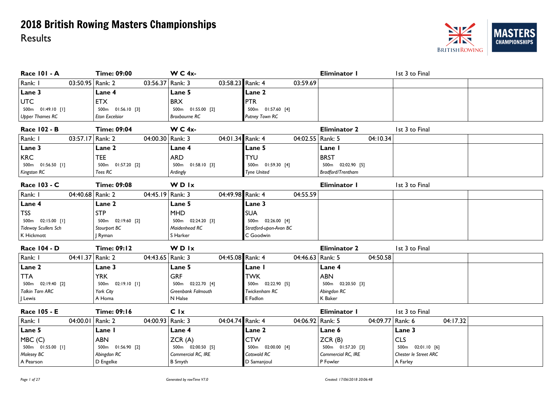

| <b>Race 101 - A</b>         | <b>Time: 09:00</b>                     | $W C 4x$ -                  |                        | Eliminator I        | 1st 3 to Final        |
|-----------------------------|----------------------------------------|-----------------------------|------------------------|---------------------|-----------------------|
| Rank: I                     | 03:50.95 Rank: 2<br>03:56.37 Rank: 3   | 03:58.23 Rank: 4            | 03:59.69               |                     |                       |
| Lane 3                      | Lane 4                                 | Lane 5                      | Lane 2                 |                     |                       |
| <b>UTC</b>                  | <b>ETX</b>                             | <b>BRX</b>                  | <b>PTR</b>             |                     |                       |
| 500m 01:49.10 [1]           | 500m 01:56.10 [3]                      | 500m 01:55.00 [2]           | 500m 01:57.60 [4]      |                     |                       |
| <b>Upper Thames RC</b>      | Eton Excelsior                         | Broxbourne RC               | Putney Town RC         |                     |                       |
| Race 102 - B                | <b>Time: 09:04</b>                     | $W C 4x$ -                  |                        | <b>Eliminator 2</b> | 1st 3 to Final        |
| Rank: I                     | 03:57.17 Rank: 2<br>04:00.30 Rank: 3   | 04:01.34 Rank: 4            | 04:02.55   Rank: 5     | 04:10.34            |                       |
| Lane 3                      | Lane 2                                 | Lane 4                      | Lane 5                 | Lane I              |                       |
| <b>KRC</b>                  | <b>TEE</b>                             | <b>ARD</b>                  | <b>TYU</b>             | <b>BRST</b>         |                       |
| 500m  01:56.50 [1]          | 500m  01:57.20  [2]                    | 500m  01:58.10  [3]         | 500m 01:59.30 [4]      | 500m  02:02.90  [5] |                       |
| Kingston RC                 | Tees RC                                | Ardingly                    | <b>Tyne United</b>     | Bradford/Trentham   |                       |
| Race 103 - C                | <b>Time: 09:08</b>                     | <b>WDIx</b>                 |                        | Eliminator I        | 1st 3 to Final        |
| Rank: I                     | 04:40.68 Rank: 2<br>04:45.19 Rank: 3   | 04:49.98 Rank: 4            | 04:55.59               |                     |                       |
| Lane 4                      | Lane 2                                 | Lane 5                      | Lane 3                 |                     |                       |
| <b>TSS</b>                  | <b>STP</b>                             | <b>MHD</b>                  | <b>SUA</b>             |                     |                       |
| 500m 02:15.00 [1]           | 500m 02:19.60 [2]                      | 500m 02:24.20 [3]           | 500m 02:26.00 [4]      |                     |                       |
| <b>Tideway Scullers Sch</b> | Stourport BC                           | Maidenhead RC               | Stratford-upon-Avon BC |                     |                       |
| K Hickmott                  | Ryman                                  | S Harker                    | C Goodwin              |                     |                       |
| <b>Race 104 - D</b>         | <b>Time: 09:12</b>                     | WDIx                        |                        | <b>Eliminator 2</b> | 1st 3 to Final        |
| Rank: I                     | 04:41.37 Rank: 2<br>04:43.65   Rank: 3 | 04:45.08 Rank: 4            | 04:46.63 Rank: 5       | 04:50.58            |                       |
| Lane 2                      | Lane 3                                 | Lane 5                      | Lane I                 | Lane 4              |                       |
| <b>TTA</b>                  | <b>YRK</b>                             | <b>GRF</b>                  | <b>TWK</b>             | <b>ABN</b>          |                       |
| 500m  02:19.40  [2]         | 500m  02:19.10 [1]                     | 500m 02:22.70 [4]           | 500m 02:22.90 [5]      | 500m 02:20.50 [3]   |                       |
| Talkin Tarn ARC             | York City                              | Greenbank Falmouth          | Twickenham RC          | Abingdon RC         |                       |
| J Lewis                     | A Homa                                 | N Halse                     | E Fadlon               | K Baker             |                       |
| Race 105 - E                | <b>Time: 09:16</b>                     | C Ix                        |                        | Eliminator I        | 1st 3 to Final        |
| Rank: I                     | 04:00.01 Rank: 2<br>04:00.93           | 04:04.74 Rank: 4<br>Rank: 3 | 04:06.92 Rank: 5       | 04:09.77            | Rank: 6<br>04:17.32   |
| Lane 5                      | Lane I                                 | Lane 4                      | Lane 2                 | Lane 6              | Lane 3                |
| MBC (C)                     | <b>ABN</b>                             | ZCR(A)                      | <b>CTW</b>             | ZCR(B)              | <b>CLS</b>            |
| 500m 01:55.00 [1]           | 500m 01:56.90 [2]                      | 500m 02:00.50 [5]           | 500m 02:00.00 [4]      | 500m  01:57.20  [3] | 500m 02:01.10 [6]     |
| Molesey BC                  | Abingdon RC                            | Commercial RC, IRE          | Cotswold RC            | Commercial RC, IRE  | Chester le Street ARC |
| A Pearson                   | D Engelke                              | <b>B</b> Smyth              | D Samanjoul            | P Fowler            | A Farley              |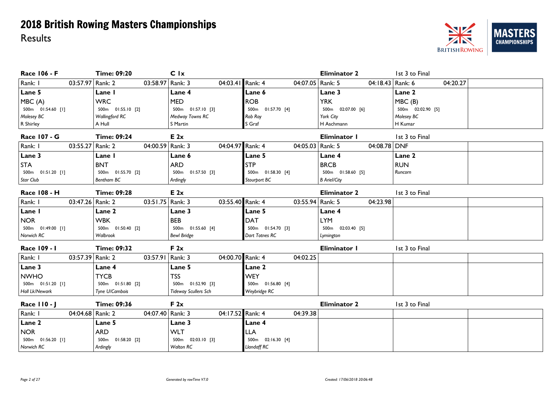

| Race 106 - F                | <b>Time: 09:20</b>          | C <sub>1x</sub>             |                     | <b>Eliminator 2</b> | 1st 3 to Final    |
|-----------------------------|-----------------------------|-----------------------------|---------------------|---------------------|-------------------|
| Rank: I<br>03:57.97 Rank: 2 | 03:58.97   Rank: 3          | 04:03.41 Rank: 4            | 04:07.05   Rank: 5  | 04:18.43 Rank: 6    | 04:20.27          |
| Lane 5                      | Lane I                      | Lane 4                      | Lane 6              | Lane 3              | Lane 2            |
| MBC(A)                      | <b>WRC</b>                  | <b>MED</b>                  | <b>ROB</b>          | <b>YRK</b>          | MBC(B)            |
| 500m  01:54.60  [I]         | 500m 01:55.10 [2]           | 500m  01:57.10  [3]         | 500m  01:57.70 [4]  | 500m 02:07.00 [6]   | 500m 02:02.90 [5] |
| Molesey BC                  | Wallingford RC              | Medway Towns RC             | Rob Roy             | York City           | Molesey BC        |
| R Shirley                   | A Hull                      | S Martin                    | S Graf              | H Aschmann          | H Kumar           |
| <b>Race 107 - G</b>         | <b>Time: 09:24</b>          | E2x                         |                     | Eliminator I        | 1st 3 to Final    |
| Rank: I<br>03:55.27         | Rank: 2<br>04:00.59 Rank: 3 | 04:04.97 Rank: 4            | 04:05.03   Rank: 5  | 04:08.78 DNF        |                   |
| Lane 3                      | Lane I                      | Lane 6                      | Lane 5              | Lane 4              | Lane 2            |
| <b>STA</b>                  | <b>BNT</b>                  | <b>ARD</b>                  | <b>STP</b>          | <b>BRCB</b>         | <b>RUN</b>        |
| 500m  01:51.20 [1]          | 500m 01:55.70 [2]           | 500m 01:57.50 [3]           | 500m 01:58.30 [4]   | 500m  01:58.60  [5] | Runcorn           |
| Star Club                   | Bentham BC                  | Ardingly                    | Stourport BC        | <b>B</b> Ariel/City |                   |
| Race 108 - H                | <b>Time: 09:28</b>          | E2x                         |                     | <b>Eliminator 2</b> | 1st 3 to Final    |
| Rank: I<br>03:47.26 Rank: 2 | 03:51.75   Rank: 3          | 03:55.40 Rank: 4            | 03:55.94 Rank: 5    | 04:23.98            |                   |
| Lane I                      | Lane 2                      | Lane 3                      | Lane 5              | Lane 4              |                   |
| <b>NOR</b>                  | <b>WBK</b>                  | <b>BEB</b>                  | <b>DAT</b>          | <b>LYM</b>          |                   |
| 500m 01:49.00 [1]           | 500m 01:50.40 [2]           | 500m  01:55.60 [4]          | 500m  01:54.70 [3]  | 500m 02:03.40 [5]   |                   |
| Norwich RC                  | Walbrook                    | <b>Bewl Bridge</b>          | Dart Totnes RC      | Lymington           |                   |
| Race 109 - 1                | <b>Time: 09:32</b>          | F 2x                        |                     | Eliminator I        | 1st 3 to Final    |
| Rank: I<br>03:57.39 Rank: 2 | 03:57.91   Rank: 3          | 04:00.70 Rank: 4            | 04:02.25            |                     |                   |
| Lane 3                      | Lane 4                      | Lane 5                      | <b>Lane 2</b>       |                     |                   |
| <b>NWHO</b>                 | <b>TYCB</b>                 | <b>TSS</b>                  | <b>WEY</b>          |                     |                   |
| 500m 01:51.20 [1]           | 500m 01:51.80 [2]           | 500m 01:52.90 [3]           | 500m 01:56.80 [4]   |                     |                   |
| Holl Lk/Newark              | Tyne U/Cambois              | <b>Tideway Scullers Sch</b> | Weybridge RC        |                     |                   |
| Race 110 - J                | <b>Time: 09:36</b>          | F 2x                        |                     | <b>Eliminator 2</b> | 1st 3 to Final    |
| Rank: I<br>04:04.68 Rank: 2 | 04:07.40 Rank: 3            | 04:17.52 Rank: 4            | 04:39.38            |                     |                   |
| Lane 2                      | Lane 5                      | Lane 3                      | Lane 4              |                     |                   |
| <b>NOR</b>                  | <b>ARD</b>                  | <b>WLT</b>                  | LLA                 |                     |                   |
| 500m  01:56.20 [1]          | 500m 01:58.20 [2]           | 500m 02:03.10 [3]           | 500m  02:16.30  [4] |                     |                   |
| Norwich RC                  | Ardingly                    | <b>Walton RC</b>            | Llandaff RC         |                     |                   |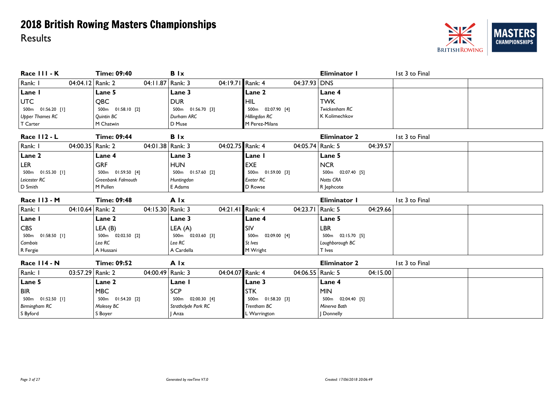

| Race III - K           | <b>Time: 09:40</b>        | <b>B</b> Ix                          |                      | Eliminator I        | 1st 3 to Final |
|------------------------|---------------------------|--------------------------------------|----------------------|---------------------|----------------|
| Rank: I                | 04:04.12 Rank: 2          | 04:19.71 Rank: 4<br>04:11.87 Rank: 3 | $04:37.93$ DNS       |                     |                |
| Lane I                 | Lane 5                    | Lane 3                               | Lane 2               | Lane 4              |                |
| <b>UTC</b>             | <b>QBC</b>                | <b>DUR</b>                           | <b>HIL</b>           | <b>TWK</b>          |                |
| 500m  01:56.20 [1]     | 500m  01:58.10  [2]       | 500m 01:56.70 [3]                    | 500m 02:07.90 [4]    | Twickenham RC       |                |
| <b>Upper Thames RC</b> | Quintin BC                | Durham ARC                           | Hillingdon RC        | K Kolimechkov       |                |
| T Carter               | M Chatwin                 | D Muse                               | M Perez-Milans       |                     |                |
| <b>Race 112 - L</b>    | <b>Time: 09:44</b>        | <b>B</b> Ix                          |                      | <b>Eliminator 2</b> | 1st 3 to Final |
| Rank: I                | 04:00.35   Rank: 2        | 04:02.75 Rank: 4<br>04:01.38 Rank: 3 | 04:05.74 Rank: 5     | 04:39.57            |                |
| Lane 2                 | Lane 4                    | Lane 3                               | <b>Lane I</b>        | Lane 5              |                |
| <b>LER</b>             | <b>GRF</b>                | <b>HUN</b>                           | <b>EXE</b>           | <b>NCR</b>          |                |
| 500m 01:55.30 [1]      | 500m 01:59.50 [4]         | 500m  01:57.60  [2]                  | 500m 01:59.00 [3]    | 500m 02:07.40 [5]   |                |
| Leicester RC           | <b>Greenbank Falmouth</b> | Huntingdon                           | <b>Exeter RC</b>     | <b>Notts CRA</b>    |                |
| D Smith                | M Pullen                  | E Adams                              | D Rowse              | R Jephcote          |                |
|                        |                           |                                      |                      |                     |                |
| Race II3 - M           | <b>Time: 09:48</b>        | A Ix                                 |                      | Eliminator I        | 1st 3 to Final |
| Rank: I                | 04:10.64 Rank: 2          | 04:15.30 Rank: 3<br>04:21.41 Rank: 4 | 04:23.71             | Rank: 5<br>04:29.66 |                |
| Lane I                 | Lane 2                    | Lane 3                               | Lane 4               | Lane 5              |                |
| <b>CBS</b>             | LEA (B)                   |                                      | SIV                  | <b>LBR</b>          |                |
| 500m 01:58.50 [1]      | 500m 02:02.50 [2]         | LEA (A)<br>500m 02:03.60 [3]         | 500m 02:09.00 [4]    | 500m 02:15.70 [5]   |                |
| Cambois                | Lea RC                    | Lea RC                               | St Ives              | Loughborough BC     |                |
| R Fergie               | A Hussani                 | A Cardella                           | M Wright             | T Ives              |                |
| Race II4 - N           | <b>Time: 09:52</b>        | A Ix                                 |                      | <b>Eliminator 2</b> | 1st 3 to Final |
| Rank: I                | 03:57.29 Rank: 2          | 04:04.07 Rank: 4<br>04:00.49 Rank: 3 | 04:06.55   Rank: 5   | 04:15.00            |                |
| Lane 5                 | Lane 2                    | Lane I                               | Lane 3               | Lane 4              |                |
| <b>BIR</b>             | <b>MBC</b>                | <b>SCP</b>                           | <b>STK</b>           | <b>MIN</b>          |                |
| 500m 01:52.50 [1]      | 500m 01:54.20 [2]         | 500m 02:00.30 [4]                    | 01:58.20 [3]<br>500m | 500m 02:04.40 [5]   |                |
| <b>Birmingham RC</b>   | Molesey BC                | Strathclyde Park RC                  | Trentham BC          | Minerva Bath        |                |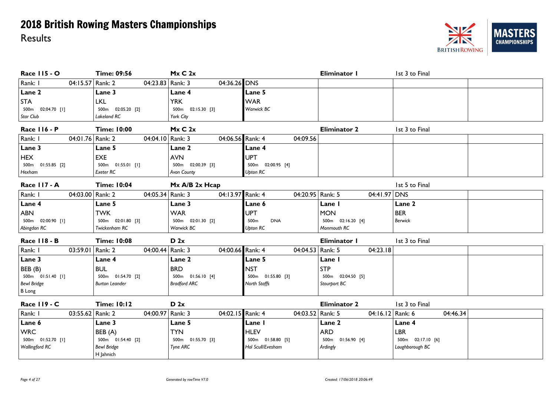### NZ **MASTERS CHAMPIONSHIPS BRITISH ROWING**

| <b>Race 115 - O</b>           | <b>Time: 09:56</b>              | Mx C 2x             |                                | Eliminator I        | 1st 3 to Final      |
|-------------------------------|---------------------------------|---------------------|--------------------------------|---------------------|---------------------|
| Rank: I<br>04:15.57 Rank: 2   | 04:23.83   Rank: 3              | 04:36.26 DNS        |                                |                     |                     |
| Lane 2                        | Lane 3                          | Lane 4              | Lane 5                         |                     |                     |
| <b>STA</b>                    | <b>LKL</b>                      | <b>YRK</b>          | <b>WAR</b>                     |                     |                     |
| 500m 02:04.70 [1]             | 500m 02:05.20 [2]               | 500m  02:15.30  [3] | Warwick BC                     |                     |                     |
| Star Club                     | Lakeland RC                     | York City           |                                |                     |                     |
| <b>Race 116 - P</b>           | <b>Time: 10:00</b>              | Mx C 2x             |                                | <b>Eliminator 2</b> | 1st 3 to Final      |
| Rank: I<br>04:01.76 Rank: 2   | 04:04.10 Rank: 3                | 04:06.56 Rank: 4    | 04:09.56                       |                     |                     |
| Lane 3                        | Lane 5                          | Lane 2              | Lane 4                         |                     |                     |
| <b>HEX</b>                    | <b>EXE</b>                      | <b>AVN</b>          | <b>UPT</b>                     |                     |                     |
| 500m  01:55.85  [2]           | 500m  01:55.01 [1]              | 500m 02:00.39 [3]   | 500m 02:00.95 [4]              |                     |                     |
| Hexham                        | Exeter RC                       | Avon County         | <b>Upton RC</b>                |                     |                     |
| Race II7 - A                  | <b>Time: 10:04</b>              | Mx A/B 2x Hcap      |                                |                     | 1st 5 to Final      |
| Rank: I<br>04:03.00 Rank: 2   | 04:05.34 Rank: 3                | 04:13.97 Rank: 4    | 04:20.95   Rank: 5             | 04:41.97            | DNS                 |
| Lane 4                        | Lane 5                          | Lane 3              | Lane 6                         | Lane I              | Lane 2              |
| <b>ABN</b>                    | <b>TWK</b>                      | <b>WAR</b>          | <b>UPT</b>                     | <b>MON</b>          | <b>BER</b>          |
| 500m 02:00.90 [1]             | 500m  02:01.80  [3]             | 500m 02:01.30 [2]   | 500 <sub>m</sub><br><b>DNA</b> | 500m 02:16.20 [4]   | <b>Berwick</b>      |
| Abingdon RC                   | Twickenham RC                   | Warwick BC          | <b>Upton RC</b>                | Monmouth RC         |                     |
| <b>Race 118 - B</b>           | <b>Time: 10:08</b>              | D 2x                |                                | Eliminator I        | 1st 3 to Final      |
| Rank: I<br>03:59.01   Rank: 2 | 04:00.44 Rank: 3                | 04:00.66 Rank: 4    | 04:04.53   Rank: 5             | 04:23.18            |                     |
| Lane 3                        | Lane 4                          | Lane 2              | Lane 5                         | Lane I              |                     |
| BEB (B)                       | <b>BUL</b>                      | <b>BRD</b>          | <b>NST</b>                     | STP                 |                     |
| 500m  01:51.40 [1]            | 500m 01:54.70 [2]               | 500m  01:56.10 [4]  | 500m  01:55.80  [3]            | 500m  02:04.50  [5] |                     |
| <b>Bewl Bridge</b>            | <b>Burton Leander</b>           | <b>Bradford ARC</b> | North Staffs                   | Stourport BC        |                     |
| <b>B</b> Long                 |                                 |                     |                                |                     |                     |
| <b>Race 119 - C</b>           | <b>Time: 10:12</b>              | D <sub>2x</sub>     |                                | <b>Eliminator 2</b> | 1st 3 to Final      |
| Rank: I<br>03:55.62 Rank: 2   | 04:00.97 Rank: 3                | 04:02.15 Rank: 4    | 04:03.52 Rank: 5               | 04:16.12 Rank: 6    | 04:46.34            |
| Lane 6                        | Lane 3                          | Lane 5              | Lane I                         | Lane 2              | Lane 4              |
| <b>WRC</b>                    | BEB (A)                         | <b>TYN</b>          | <b>HLEV</b>                    | <b>ARD</b>          | <b>LBR</b>          |
| 500m  01:52.70 [1]            | 500m  01:54.40  [2]             | 500m  01:55.70  [3] | 500m 01:58.80 [5]              | 500m  01:56.90 [4]  | 500m  02:17.10  [6] |
| <b>Wallingford RC</b>         | <b>Bewl Bridge</b><br>H Jahnich | Tyne ARC            | Hol Scull/Evesham              | Ardingly            | Loughborough BC     |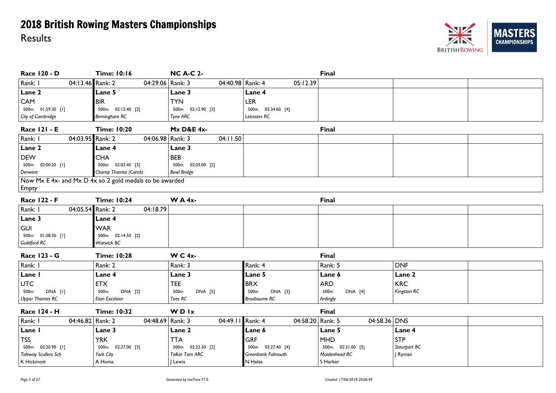

| <b>Race 120 - D</b>         | <b>Time: 10:16</b>                                      | <b>NC A-C 2-</b>      |                      | <b>Final</b>            |              |
|-----------------------------|---------------------------------------------------------|-----------------------|----------------------|-------------------------|--------------|
| 04:13.46 Rank: 2<br>Rank: I | 04:29.06   Rank: 3                                      | 04:40.98 Rank: 4      | 05:12.39             |                         |              |
| Lane 2                      | <b>Lane 5</b>                                           | Lane 3                | Lane 4               |                         |              |
| CAM                         | <b>BIR</b>                                              | <b>TYN</b>            | <b>LER</b>           |                         |              |
| 500m 01:59.30 [1]           | 500m  02:12.40  [2]                                     | 500m 02:12.90 [3]     | 500m  02:34.60 [4]   |                         |              |
| City of Cambridge           | <b>Birmingham RC</b>                                    | Tyne ARC              | Leicester RC         |                         |              |
| <b>Race 121 - E</b>         | <b>Time: 10:20</b>                                      | <b>Mx D&amp;E 4x-</b> |                      | <b>Final</b>            |              |
| 04:03.95 Rank: 2<br>Rank: I | 04:06.98 Rank: 3                                        | 04:11.50              |                      |                         |              |
| Lane 2                      | Lane 4                                                  | Lane 3                |                      |                         |              |
| <b>DEW</b>                  | <b>CHA</b>                                              | <b>BEB</b>            |                      |                         |              |
| 500m  02:00.20 [1]          | 500m 02:03.40 [3]                                       | 500m 02:03.00 [2]     |                      |                         |              |
| Derwent                     | Champ Thames (Camb)                                     | <b>Bewl Bridge</b>    |                      |                         |              |
|                             | Now Mx E 4x- and Mx D 4x so 2 gold medals to be awarded |                       |                      |                         |              |
| Empty                       |                                                         |                       |                      |                         |              |
| <b>Race 122 - F</b>         | <b>Time: 10:24</b>                                      | <b>WA4x-</b>          |                      | <b>Final</b>            |              |
| Rank: I<br>04:05.54 Rank: 2 | 04:18.79                                                |                       |                      |                         |              |
| Lane 3                      | Lane 4                                                  |                       |                      |                         |              |
| <b>GUI</b>                  | <b>WAR</b>                                              |                       |                      |                         |              |
| 500m  01:58.50 [1]          | 500m  02:14.50  [2]                                     |                       |                      |                         |              |
| Guildford RC                | Warwick BC                                              |                       |                      |                         |              |
| Race 123 - G                | <b>Time: 10:28</b>                                      | <b>W C 4x-</b>        |                      | <b>Final</b>            |              |
| Rank: I                     | Rank: 2                                                 | Rank: 3               | Rank: 4              | Rank: 5                 | <b>DNF</b>   |
| Lane I                      | Lane 4                                                  | Lane 3                | Lane 5               | Lane 6                  | Lane 2       |
| <b>UTC</b>                  | <b>ETX</b>                                              | <b>TEE</b>            | <b>BRX</b>           | <b>ARD</b>              | <b>KRC</b>   |
| DNA [I]<br>500m             | 500m<br>DNA [2]                                         | DNA [5]<br>500m       | 500m<br>DNA [3]      | 500m<br>DNA [4]         | Kingston RC  |
| <b>Upper Thames RC</b>      | Eton Excelsior                                          | Tees RC               | <b>Broxbourne RC</b> | Ardingly                |              |
| <b>Race 124 - H</b>         | <b>Time: 10:32</b>                                      | <b>WDIx</b>           |                      | <b>Final</b>            |              |
| Rank: I<br>04:46.82 Rank: 2 | 04:48.69 Rank: 3                                        | 04:49.11 Rank: 4      | 04:58.20             | Rank: 5<br>04:58.36 DNS |              |
| Lane I                      | Lane 3                                                  | Lane 2                | Lane 6               | Lane 5                  | Lane 4       |
| <b>TSS</b>                  | <b>YRK</b>                                              | <b>TTA</b>            | GRF                  | <b>MHD</b>              | <b>STP</b>   |
| 500m 02:20.90 [1]           | 500m  02:27.00  [3]                                     | 500m 02:22.30 [2]     | 500m 02:27.40 [4]    | 500m  02:31.00  [5]     | Stourport BC |
| <b>Tideway Scullers Sch</b> | York City                                               | Talkin Tarn ARC       | Greenbank Falmouth   | Maidenhead RC           | J Ryman      |
| K Hickmott                  | A Homa                                                  | Lewis                 | N Halse              | S Harker                |              |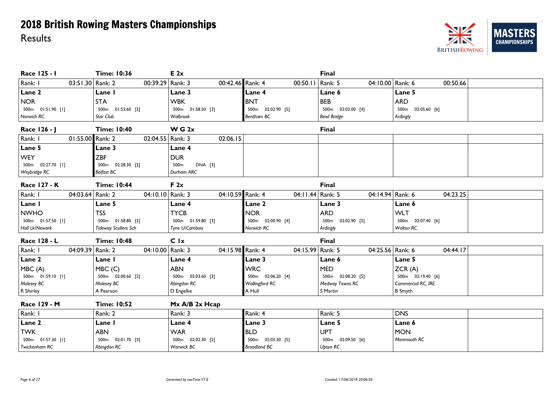

| Race 125 - I                | <b>Time: 10:36</b>               | E 2x                |                                  | Final                            |                      |
|-----------------------------|----------------------------------|---------------------|----------------------------------|----------------------------------|----------------------|
| Rank: I<br>03:51.30 Rank: 2 | 00:39.29 Rank: 3                 | 00:42.46 Rank: 4    | 00:50.11                         | Rank: 5<br>04:10.00 Rank: 6      | 00:50.66             |
| Lane 2                      | Lane I                           | Lane 3              | Lane 4                           | Lane 6                           | Lane 5               |
| <b>NOR</b>                  | <b>STA</b>                       | <b>WBK</b>          | <b>BNT</b>                       | <b>BEB</b>                       | <b>ARD</b>           |
| 500m  01:51.90 [1]          | 500m 01:53.60 [2]                | 500m 01:58.50 [3]   | 02:02.90 [5]<br>500m             | 500m 02:02.00 [4]                | 02:05.60 [6]<br>500m |
| Norwich RC                  | Star Club                        | Walbrook            | Bentham BC                       | <b>Bewl Bridge</b>               | Ardingly             |
| Race 126 - J                | <b>Time: 10:40</b>               | W G 2x              |                                  | <b>Final</b>                     |                      |
| Rank: I<br>01:55.00 Rank: 2 | 02:04.55                         | 02:06.15<br>Rank: 3 |                                  |                                  |                      |
| Lane 5                      | <b>Lane 3</b>                    | Lane 4              |                                  |                                  |                      |
| <b>WEY</b>                  | <b>ZBF</b>                       | <b>DUR</b>          |                                  |                                  |                      |
| 500m 02:27.70 [1]           | 500m 02:28.30 [2]                | DNA [3]<br>500m     |                                  |                                  |                      |
| Weybridge RC                | Belfast BC                       | Durham ARC          |                                  |                                  |                      |
| <b>Race 127 - K</b>         | <b>Time: 10:44</b>               | F 2x                |                                  | <b>Final</b>                     |                      |
| Rank: I<br>04:03.64 Rank: 2 | 04:10.10 Rank: 3                 | 04:10.59 Rank: 4    | 04:11.44 Rank: 5                 | 04:14.94 Rank: 6                 | 04:23.25             |
| Lane I                      | Lane 5                           | Lane 4              | Lane 2                           | Lane 3                           | Lane 6               |
| <b>NWHO</b>                 | <b>TSS</b>                       | <b>TYCB</b>         | <b>NOR</b>                       | <b>ARD</b>                       | <b>WLT</b>           |
| 500m  01:57.50 [1]          | 500m 01:58.80 [2]                | 500m 01:59.80 [3]   | 500m 02:00.90 [4]                | 500 <sub>m</sub><br>02:02.90 [5] | 500m 02:07.40 [6]    |
| Holl Lk/Newark              | <b>Tideway Scullers Sch</b>      | Tyne U/Cambois      | Norwich RC                       | Ardingly                         | Walton RC            |
| Race 128 - L                | <b>Time: 10:48</b>               | C Ix                |                                  | <b>Final</b>                     |                      |
| Rank: I<br>04:09.39 Rank: 2 | 04:10.00   Rank: 3               | 04:15.98 Rank: 4    | 04:15.99 Rank: 5                 | 04:25.56 Rank: 6                 | 04:44.17             |
| Lane 2                      | Lane I                           | Lane 4              | Lane 3                           | Lane 6                           | Lane 5               |
| MBC(A)                      | MBC(C)                           | <b>ABN</b>          | <b>WRC</b>                       | <b>MED</b>                       | ZCR(A)               |
| 500m 01:59.10 [1]           | 500m 02:00.60 [2]                | 500m 02:03.60 [3]   | 500m 02:06.20 [4]                | 500m 02:08.20 [5]                | 500m 02:19.40 [6]    |
| Molesey BC                  | Molesey BC                       | Abingdon RC         | <b>Wallingford RC</b>            | Medway Towns RC                  | Commercial RC, IRE   |
| R Shirley                   | A Pearson                        | D Engelke           | A Hull                           | S Martin                         | <b>B</b> Smyth       |
| Race 129 - M                | <b>Time: 10:52</b>               | Mx A/B 2x Hcap      |                                  |                                  |                      |
| Rank: I                     | Rank: 2                          | Rank: 3             | Rank: 4                          | Rank: 5                          | <b>DNS</b>           |
| Lane 2                      | Lane I                           | Lane 4              | Lane 3                           | Lane 5                           | Lane 6               |
| <b>TWK</b>                  | <b>ABN</b>                       | <b>WAR</b>          | <b>BLD</b>                       | <b>UPT</b>                       | <b>MON</b>           |
| 500m 01:57.30 [1]           | 500 <sub>m</sub><br>02:01.70 [3] | 500m 02:02.30 [2]   | 500 <sub>m</sub><br>02:03.30 [5] | 500 <sub>m</sub><br>02:09.50 [6] | Monmouth RC          |
| Twickenham RC               | Abingdon RC                      | Warwick BC          | <b>Broadland BC</b>              | <b>Upton RC</b>                  |                      |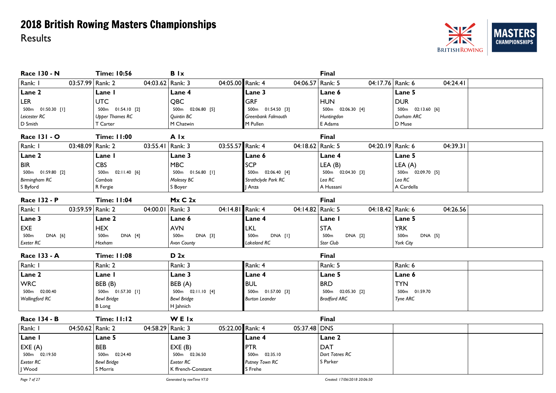

| <b>Race 130 - N</b>                | <b>Time: 10:56</b>          | <b>B</b> Ix                         |                             | <b>Final</b>                |                             |
|------------------------------------|-----------------------------|-------------------------------------|-----------------------------|-----------------------------|-----------------------------|
| Rank: I<br>03:57.99 Rank: 2        | 04:03.62   Rank: 3          | 04:05.00 Rank: 4                    | 04:06.57                    | 04:17.76 Rank: 6<br>Rank: 5 | 04:24.41                    |
| Lane 2                             | Lane I                      | Lane 4                              | Lane 3                      | Lane 6                      | Lane 5                      |
| <b>LER</b>                         | <b>UTC</b>                  | <b>QBC</b>                          | <b>GRF</b>                  | <b>HUN</b>                  | <b>DUR</b>                  |
| 500m  01:50.30 [1]                 | 500m  01:54.10  [2]         | 500m  02:06.80  [5]                 | 500m 01:54.50 [3]           | 500m 02:06.30 [4]           | 500m 02:13.60 [6]           |
| Leicester RC                       | <b>Upper Thames RC</b>      | Quintin BC                          | Greenbank Falmouth          | Huntingdon                  | Durham ARC                  |
| D Smith                            | T Carter                    | M Chatwin                           | M Pullen                    | E Adams                     | D Muse                      |
| <b>Race 131 - O</b>                | <b>Time: 11:00</b>          | A Ix                                |                             | <b>Final</b>                |                             |
| Rank: I<br>03:48.09 Rank: 2        | 03:55.41                    | 03:55.57 Rank: 4<br>$\vert$ Rank: 3 | 04:18.62 Rank: 5            | 04:20.19 Rank: 6            | 04:39.31                    |
| Lane 2                             | Lane I                      | Lane 3                              | Lane 6                      | Lane 4                      | Lane 5                      |
| <b>BIR</b>                         | <b>CBS</b>                  | <b>MBC</b>                          | <b>SCP</b>                  | LEA(B)                      | LEA (A)                     |
| 500m 01:59.80 [2]                  | 500m  02:11.40  [6]         | 500m  01:56.80 [1]                  | 500m 02:06.40 [4]           | 500m 02:04.30 [3]           | 500m 02:09.70 [5]           |
| Birmingham RC                      | Cambois                     | Molesey BC                          | Strathclyde Park RC         | Lea RC                      | Lea RC                      |
| S Byford                           | R Fergie                    | S Boyer                             | Anza                        | A Hussani                   | A Cardella                  |
| Race 132 - P                       | <b>Time: 11:04</b>          | Mx C 2x                             |                             | <b>Final</b>                |                             |
| Rank: I<br>03:59.59 Rank: 2        | 04:00.01                    | 04:14.81 Rank: 4<br>Rank: 3         | 04:14.82 Rank: 5            | 04:18.42 Rank: 6            | 04:26.56                    |
| Lane 3                             | Lane 2                      | Lane 6                              | Lane 4                      | Lane I                      | Lane 5                      |
| EXE                                | <b>HEX</b>                  | <b>AVN</b>                          | <b>LKL</b>                  | <b>STA</b>                  | <b>YRK</b>                  |
| 500 <sub>m</sub><br><b>DNA</b> [6] | 500 <sub>m</sub><br>DNA [4] | DNA [3]<br>500m                     | DNA [I]<br>500 <sub>m</sub> | 500 <sub>m</sub><br>DNA [2] | DNA [5]<br>500 <sub>m</sub> |
| Exeter RC                          | <b>Hexham</b>               | Avon County                         | Lakeland RC                 | Star Club                   | York City                   |
| Race 133 - A                       | <b>Time: 11:08</b>          | D 2x                                |                             | <b>Final</b>                |                             |
| Rank: I                            | Rank: 2                     | Rank: 3                             | Rank: 4                     | Rank: 5                     | Rank: 6                     |
| Lane 2                             | Lane I                      | Lane 3                              | Lane 4                      | Lane 5                      | Lane 6                      |
| <b>WRC</b>                         | BEB (B)                     | BEB (A)                             | <b>BUL</b>                  | <b>BRD</b>                  | <b>TYN</b>                  |
| 500m 02:00.40                      | 500m  01:57.30 [1]          | 500m  02:11.10  [4]                 | 500m  01:57.00  [3]         | 500m 02:05.30 [2]           | 500m 01:59.70               |
| <b>Wallingford RC</b>              | <b>Bewl Bridge</b>          | <b>Bewl Bridge</b>                  | <b>Burton Leander</b>       | <b>Bradford ARC</b>         | Tyne ARC                    |
|                                    | <b>B</b> Long               | H Jahnich                           |                             |                             |                             |
| Race 134 - B                       | <b>Time: 11:12</b>          | WEIx                                |                             | <b>Final</b>                |                             |
| Rank: I<br>04:50.62 Rank: 2        | 04:58.29                    | 05:22.00 Rank: 4<br>Rank: 3         | 05:37.48 DNS                |                             |                             |
| Lane I                             | Lane 5                      | Lane 3                              | Lane 4                      | Lane 2                      |                             |
| EXE(A)                             | <b>BEB</b>                  | EXE(B)                              | <b>PTR</b>                  | <b>DAT</b>                  |                             |
| 500m 02:19.50                      | 500m 02:24.40               | 500m 02:36.50                       | 500m 02:35.10               | Dart Totnes RC              |                             |
| Exeter RC                          | <b>Bewl Bridge</b>          | Exeter RC                           | Putney Town RC              | S Parker                    |                             |
| I Wood                             | S Morris                    | K ffrench-Constant                  | S Frehe                     |                             |                             |

*Page 7 of 27 Generated by rowTime V7.0 Created: 17/06/2018 20:06:50*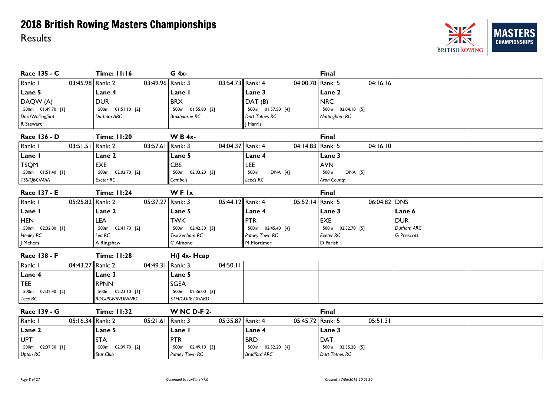

| Race 135 - C                | <b>Time: 11:16</b>  | G 4x-                       |                     | Final                  |                   |
|-----------------------------|---------------------|-----------------------------|---------------------|------------------------|-------------------|
| Rank: I<br>03:45.98 Rank: 2 | 03:49.96   Rank: 3  | 03:54.73 Rank: 4            | 04:00.78 Rank: 5    | 04:16.16               |                   |
| Lane 5                      | Lane 4              | Lane I                      | Lane 3              | Lane 2                 |                   |
| DAQW (A)                    | <b>DUR</b>          | <b>BRX</b>                  | DAT(B)              | <b>NRC</b>             |                   |
| 500m  01:49.70 [1]          | 500m  01:51.10  [2] | 500m 01:55.80 [3]           | 500m 01:57.50 [4]   | 500m 02:04.10 [5]      |                   |
| Dart/Wallingford            | Durham ARC          | <b>Broxbourne RC</b>        | Dart Totnes RC      | Nottingham RC          |                   |
| R Stewart                   |                     |                             | J Harris            |                        |                   |
| <b>Race 136 - D</b>         | <b>Time: 11:20</b>  | <b>WB4x-</b>                |                     | <b>Final</b>           |                   |
| 03:51.51 Rank: 2<br>Rank: I | 03:57.61 Rank: 3    | 04:04.37 Rank: 4            | 04:14.83 Rank: 5    | 04:16.10               |                   |
| Lane I                      | Lane 2              | <b>Lane 5</b>               | Lane 4              | Lane 3                 |                   |
| <b>TSQM</b>                 | <b>EXE</b>          | <b>CBS</b>                  | <b>LEE</b>          | <b>AVN</b>             |                   |
| 500m  01:51.40  [1]         | 500m 02:02.70 [2]   | 500m 02:03.20 [3]           | 500m<br>DNA [4]     | 500m<br><b>DNA</b> [5] |                   |
| TSS/QBC/MAA                 | Exeter RC           | Cambois                     | Leeds RC            | Avon County            |                   |
| Race 137 - E                | <b>Time: 11:24</b>  | WFIx                        |                     | <b>Final</b>           |                   |
| Rank: I<br>05:25.82 Rank: 2 | 05:37.27            | 05:44.12 Rank: 4<br>Rank: 3 | 05:52.14 Rank: 5    | 06:04.82 DNS           |                   |
| Lane I                      | Lane 2              | Lane 5                      | Lane 4              | Lane 3                 | Lane 6            |
| <b>HEN</b>                  | LEA                 | <b>TWK</b>                  | PTR                 | <b>EXE</b>             | <b>DUR</b>        |
| 500m 02:32.80 [1]           | 500m 02:41.70 [2]   | 500m  02:42.30  [3]         | 500m 02:45.40 [4]   | 500m 02:52.70 [5]      | Durham ARC        |
| <b>Henley RC</b>            | Lea RC              | Twickenham RC               | Putney Town RC      | Exeter RC              | <b>G</b> Prescott |
| J Mehers                    | A Ringshaw          | C Almond                    | M Mortimer          | D Parish               |                   |
| Race 138 - F                | <b>Time: 11:28</b>  | $H/J$ 4x- $Hcap$            |                     |                        |                   |
| Rank: I<br>04:43.27 Rank: 2 | 04:49.31   Rank: 3  | 04:50.11                    |                     |                        |                   |
| Lane 4                      | Lane 3              | Lane 5                      |                     |                        |                   |
| <b>TEE</b>                  | <b>RPNN</b>         | <b>SGEA</b>                 |                     |                        |                   |
| 500m 02:32.40 [2]           | 500m  02:23.10 [1]  | 500m 02:36.00 [3]           |                     |                        |                   |
| Tees RC                     | RDG/PGN/NUN/NRC     | STH/GUI/ETX/ARD             |                     |                        |                   |
| <b>Race 139 - G</b>         | <b>Time: 11:32</b>  | <b>W NC D-F 2-</b>          |                     | <b>Final</b>           |                   |
| Rank: I<br>05:16.34 Rank: 2 | 05:21.61   Rank: 3  | 05:35.87 Rank: 4            | 05:45.72 Rank: 5    | 05:51.31               |                   |
| Lane 2                      | Lane 5              | Lane I                      | Lane 4              | Lane 3                 |                   |
| <b>UPT</b>                  | <b>STA</b>          | <b>PTR</b>                  | <b>BRD</b>          | <b>DAT</b>             |                   |
| 500m 02:37.30 [1]           | 500m 02:39.70 [2]   | 500m 02:49.10 [3]           | 500m 02:52.20 [4]   | 500m 02:55.20 [5]      |                   |
| Upton RC                    | Star Club           | Putney Town RC              | <b>Bradford ARC</b> | Dart Totnes RC         |                   |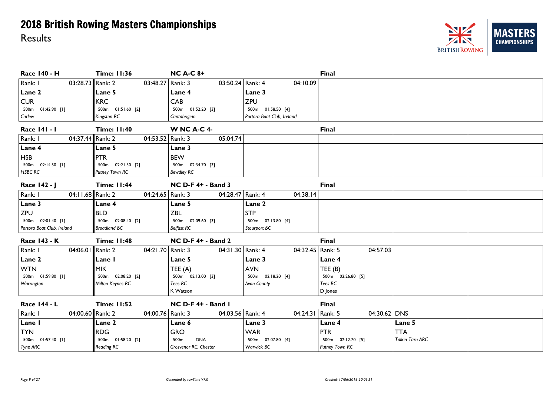

| <b>Race 140 - H</b>         | <b>Time: 11:36</b>  | <b>NC A-C 8+</b>               |                            | Final                   |                        |  |
|-----------------------------|---------------------|--------------------------------|----------------------------|-------------------------|------------------------|--|
| Rank: I<br>03:28.73 Rank: 2 | 03:48.27 Rank: 3    | 03:50.24 Rank: 4               | 04:10.09                   |                         |                        |  |
| Lane 2                      | Lane 5              | Lane 4                         | Lane 3                     |                         |                        |  |
| <b>CUR</b>                  | <b>KRC</b>          | CAB                            | <b>ZPU</b>                 |                         |                        |  |
| 500m  01:42.90  [1]         | 500m  01:51.60  [2] | 500m 01:52.20 [3]              | 500m 01:58.50 [4]          |                         |                        |  |
| Curlew                      | Kingston RC         | Cantabrigian                   | Portora Boat Club, Ireland |                         |                        |  |
| Race 141 - 1                | <b>Time: 11:40</b>  | <b>W NC A-C 4-</b>             |                            | <b>Final</b>            |                        |  |
| 04:37.44 Rank: 2<br>Rank: I | 04:53.52 Rank: 3    | 05:04.74                       |                            |                         |                        |  |
| Lane 4                      | Lane 5              | Lane 3                         |                            |                         |                        |  |
| <b>HSB</b>                  | <b>PTR</b>          | <b>BEW</b>                     |                            |                         |                        |  |
| 500m  02:14.50 [1]          | 500m  02:21.30  [2] | 500m  02:34.70  [3]            |                            |                         |                        |  |
| <b>HSBC RC</b>              | Putney Town RC      | <b>Bewdley RC</b>              |                            |                         |                        |  |
| Race 142 - J                | <b>Time: 11:44</b>  | <b>NC D-F 4+ - Band 3</b>      |                            | <b>Final</b>            |                        |  |
| 04:11.68 Rank: 2<br>Rank: I | 04:24.65   Rank: 3  | 04:28.47 Rank: 4               | 04:38.14                   |                         |                        |  |
| Lane 3                      | Lane 4              | Lane 5                         | Lane 2                     |                         |                        |  |
| <b>ZPU</b>                  | <b>BLD</b>          | <b>ZBL</b>                     | <b>STP</b>                 |                         |                        |  |
| 500m  02:01.40 [1]          | 500m 02:08.40 [2]   | 500m 02:09.60 [3]              | 500m  02:13.80  [4]        |                         |                        |  |
| Portora Boat Club, Ireland  | <b>Broadland BC</b> | <b>Belfast RC</b>              | Stourport BC               |                         |                        |  |
| <b>Race 143 - K</b>         | <b>Time: 11:48</b>  | <b>NC D-F 4+ - Band 2</b>      |                            | <b>Final</b>            |                        |  |
| 04:06.01 Rank: 2<br>Rank: I | 04:21.70 Rank: 3    | 04:31.30 Rank: 4               | 04:32.45   Rank: 5         | 04:57.03                |                        |  |
| Lane 2                      | Lane I              | Lane 5                         | Lane 3                     | Lane 4                  |                        |  |
| <b>WTN</b>                  | <b>MIK</b>          | TEE $(A)$                      | <b>AVN</b>                 | TEE(B)                  |                        |  |
| 500m  01:59.80 [1]          | 500m 02:08.20 [2]   | 500m  02:13.00  [3]            | 500m  02:18.20 [4]         | 500m  02:26.80  [5]     |                        |  |
| Warrington                  | Milton Keynes RC    | Tees RC                        | Avon County                | Tees RC                 |                        |  |
|                             |                     | K Watson                       |                            | D Jones                 |                        |  |
| <b>Race 144 - L</b>         | <b>Time: 11:52</b>  | NC D-F 4+ - Band I             |                            | <b>Final</b>            |                        |  |
| 04:00.60 Rank: 2<br>Rank: I | 04:00.76 Rank: 3    | 04:03.56 Rank: 4               | 04:24.31                   | 04:30.62 DNS<br>Rank: 5 |                        |  |
| Lane I                      | Lane 2              | Lane 6                         | Lane 3                     | Lane 4                  | Lane 5                 |  |
| <b>TYN</b>                  | <b>RDG</b>          | <b>GRO</b>                     | <b>WAR</b>                 | <b>PTR</b>              | <b>TTA</b>             |  |
| 500m  01:57.40  [1]         | 500m  01:58.20  [2] | <b>DNA</b><br>500 <sub>m</sub> | 500m  02:07.80  [4]        | 500m  02:12.70  [5]     | <b>Talkin Tarn ARC</b> |  |
| <b>Tyne ARC</b>             | <b>Reading RC</b>   | Grosvenor RC, Chester          | Warwick BC                 | Putney Town RC          |                        |  |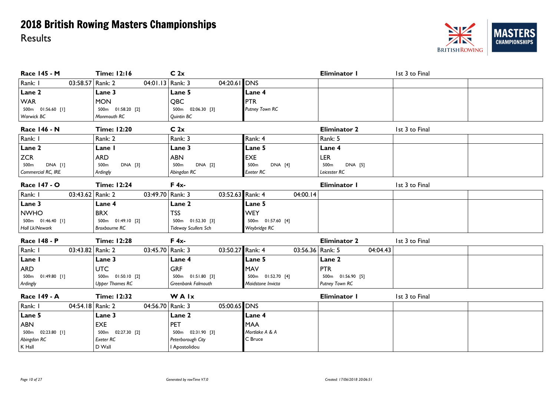

| Race 145 - M                | <b>Time: 12:16</b>     | C <sub>2x</sub>             |                    | Eliminator I        | 1st 3 to Final |
|-----------------------------|------------------------|-----------------------------|--------------------|---------------------|----------------|
| Rank: I<br>03:58.57 Rank: 2 | 04:01.13   Rank: 3     | 04:20.61 DNS                |                    |                     |                |
| Lane 2                      | Lane 3                 | Lane 5                      | Lane 4             |                     |                |
| <b>WAR</b>                  | <b>MON</b>             | QBC                         | <b>PTR</b>         |                     |                |
| 500m  01:56.60 [1]          | 500m 01:58.20 [2]      | 500m 02:06.30 [3]           | Putney Town RC     |                     |                |
| Warwick BC                  | Monmouth RC            | Quintin BC                  |                    |                     |                |
| <b>Race 146 - N</b>         | <b>Time: 12:20</b>     | C <sub>2x</sub>             |                    | <b>Eliminator 2</b> | 1st 3 to Final |
| Rank: I                     | Rank: 2                | Rank: 3                     | Rank: 4            | Rank: 5             |                |
| Lane 2                      | Lane I                 | Lane 3                      | Lane 5             | Lane 4              |                |
| <b>ZCR</b>                  | <b>ARD</b>             | <b>ABN</b>                  | <b>EXE</b>         | <b>LER</b>          |                |
| 500m<br>DNA [I]             | DNA [3]<br>500m        | DNA [2]<br>500m             | 500m<br>DNA [4]    | 500m<br>DNA [5]     |                |
| Commercial RC, IRE          | Ardingly               | Abingdon RC                 | Exeter RC          | Leicester RC        |                |
| Race 147 - O                | <b>Time: 12:24</b>     | $F 4x -$                    |                    | Eliminator I        | 1st 3 to Final |
| Rank: I<br>03:43.62 Rank: 2 | 03:49.70 Rank: 3       | 03:52.63 Rank: 4            | 04:00.14           |                     |                |
| Lane 3                      | Lane 4                 | Lane 2                      | Lane 5             |                     |                |
| <b>NWHO</b>                 | <b>BRX</b>             | <b>TSS</b>                  | <b>WEY</b>         |                     |                |
| 500m 01:46.40 [1]           | 500m  01:49.10  [2]    | 500m 01:52.30 [3]           | 500m  01:57.60 [4] |                     |                |
| Holl Lk/Newark              | <b>Broxbourne RC</b>   | <b>Tideway Scullers Sch</b> | Weybridge RC       |                     |                |
| Race 148 - P                | <b>Time: 12:28</b>     | $F 4x -$                    |                    | <b>Eliminator 2</b> | 1st 3 to Final |
| Rank: I<br>03:43.82 Rank: 2 | 03:45.70   Rank: 3     | 03:50.27 Rank: 4            | 03:56.36 Rank: 5   | 04:04.43            |                |
| Lane I                      | Lane 3                 | Lane 4                      | Lane 5             | Lane 2              |                |
| <b>ARD</b>                  | <b>UTC</b>             | <b>GRF</b>                  | MAV                | <b>PTR</b>          |                |
| 500m 01:49.80 [1]           | 500m  01:50.10  [2]    | 500m  01:51.80  [3]         | 500m  01:52.70 [4] | 500m 01:56.90 [5]   |                |
| Ardingly                    | <b>Upper Thames RC</b> | Greenbank Falmouth          | Maidstone Invicta  | Putney Town RC      |                |
| Race 149 - A                | <b>Time: 12:32</b>     | WAIx                        |                    | Eliminator I        | 1st 3 to Final |
| Rank: I<br>04:54.18 Rank: 2 | 04:56.70 Rank: 3       | 05:00.65 DNS                |                    |                     |                |
| Lane 5                      | Lane 3                 | Lane 2                      | Lane 4             |                     |                |
| <b>ABN</b>                  | <b>EXE</b>             | <b>PET</b>                  | <b>MAA</b>         |                     |                |
| 500m 02:23.80 [1]           | 500m 02:27.30 [2]      | 500m 02:31.90 [3]           | Mortlake A & A     |                     |                |
| Abingdon RC                 | Exeter RC              | Peterborough City           | C Bruce            |                     |                |
| $K$ Hall                    | D Wall                 | I Apostolidou               |                    |                     |                |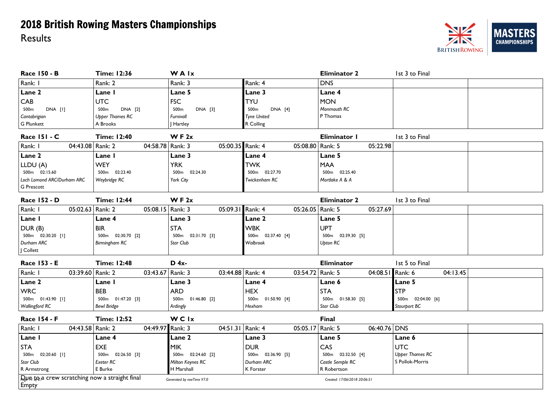

| <b>Race 150 - B</b>                                          | <b>Time: 12:36</b>           | WAIx                      |                             | <b>Eliminator 2</b>          | 1st 3 to Final         |
|--------------------------------------------------------------|------------------------------|---------------------------|-----------------------------|------------------------------|------------------------|
| Rank: I                                                      | Rank: 2                      | Rank: 3                   | Rank: 4                     | <b>DNS</b>                   |                        |
| Lane 2                                                       | Lane I                       | Lane 5                    | Lane 3                      | Lane 4                       |                        |
| CAB                                                          | <b>UTC</b>                   | <b>FSC</b>                | <b>TYU</b>                  | <b>MON</b>                   |                        |
| 500m<br>DNA [I]                                              | 500m<br>DNA [2]              | DNA [3]<br>500m           | 500 <sub>m</sub><br>DNA [4] | Monmouth RC                  |                        |
| Cantabrigian                                                 | <b>Upper Thames RC</b>       | Furnivall                 | <b>Tyne United</b>          | P Thomas                     |                        |
| <b>G Plunkett</b>                                            | A Brooks                     | Hartley                   | R Colling                   |                              |                        |
| <b>Race 151 - C</b>                                          | <b>Time: 12:40</b>           | WF $2x$                   |                             | Eliminator I                 | 1st 3 to Final         |
| Rank: I<br>04:43.08 Rank: 2                                  | 04:58.78   Rank: 3           | 05:00.35 Rank: 4          | 05:08.80   Rank: 5          | 05:22.98                     |                        |
| Lane 2                                                       | Lane I                       | Lane 3                    | Lane 4                      | Lane 5                       |                        |
| LLDU (A)                                                     | <b>WEY</b>                   | <b>YRK</b>                | <b>TWK</b>                  | <b>MAA</b>                   |                        |
| 500m 02:15.60                                                | 02:23.40<br>500 <sub>m</sub> | 500m 02:24.30             | 500m 02:27.70               | 500m 02:25.40                |                        |
| Loch Lomond ARC/Durham ARC                                   | Weybridge RC                 | York City                 | Twickenham RC               | Mortlake A & A               |                        |
| <b>G</b> Prescott                                            |                              |                           |                             |                              |                        |
| <b>Race 152 - D</b>                                          | <b>Time: 12:44</b>           | W F 2x                    |                             | <b>Eliminator 2</b>          | 1st 3 to Final         |
| 05:02.63 Rank: 2<br>Rank: I                                  | 05:08.15   Rank: 3           | 05:09.31 Rank: 4          | 05:26.05   Rank: 5          | 05:27.69                     |                        |
| Lane I                                                       | Lane 4                       | Lane 3                    | Lane 2                      | Lane 5                       |                        |
| DUR (B)                                                      | <b>BIR</b>                   | <b>STA</b>                | <b>WBK</b>                  | <b>UPT</b>                   |                        |
| 500m 02:30.20 [1]                                            | 500m  02:30.70  [2]          | 500m  02:31.70  [3]       | 500m  02:37.40 [4]          | 500m  02:39.30  [5]          |                        |
| Durham ARC                                                   | <b>Birmingham RC</b>         | Star Club                 | Walbrook                    | <b>Upton RC</b>              |                        |
| J Collett                                                    |                              |                           |                             |                              |                        |
| Race 153 - E                                                 | <b>Time: 12:48</b>           | $D$ 4x-                   |                             | <b>Eliminator</b>            | 1st 5 to Final         |
| Rank: I<br>03:39.60 Rank: 2                                  | 03:43.67 Rank: 3             | 03:44.88 Rank: 4          | 03:54.72 Rank: 5            | 04:08.51 Rank: 6             | 04:13.45               |
| Lane 2                                                       | Lane I                       | Lane 3                    | Lane 4                      | Lane 6                       | Lane 5                 |
| <b>WRC</b>                                                   | <b>BEB</b>                   | <b>ARD</b>                | <b>HEX</b>                  | <b>STA</b>                   | <b>STP</b>             |
| 500m 01:43.90 [1]                                            | 500m  01:47.20  [3]          | 500m  01:46.80  [2]       | 500m  01:50.90 [4]          | 500m  01:58.30  [5]          | 500m 02:04.00 [6]      |
| Wallingford RC                                               | <b>Bewl Bridge</b>           | Ardingly                  | Hexham                      | Star Club                    | Stourport BC           |
| <b>Race 154 - F</b>                                          | <b>Time: 12:52</b>           | WCIx                      |                             | <b>Final</b>                 |                        |
| 04:43.58 Rank: 2<br>Rank: I                                  | 04:49.97 Rank: 3             | 04:51.31   Rank: 4        | 05:05.17 Rank: 5            | 06:40.76 DNS                 |                        |
| Lane I                                                       | Lane 4                       | Lane 2                    | Lane 3                      | Lane 5                       | Lane 6                 |
| <b>STA</b>                                                   | <b>EXE</b>                   | MIK                       | <b>DUR</b>                  | CAS                          | <b>UTC</b>             |
| 500m 02:20.60 [1]                                            | 500m  02:26.50  [3]          | 500m  02:24.60  [2]       | 500m 02:36.90 [5]           | 500m 02:32.50 [4]            | <b>Upper Thames RC</b> |
| Star Club                                                    | Exeter RC                    | Milton Keynes RC          | Durham ARC                  | Castle Semple RC             | S Pollok-Morris        |
| R Armstrong                                                  | E Burke                      | H Marshall                | K Forster                   | R Robertson                  |                        |
| $Q_{\mu}$ to a crew scratching now a straight final<br>Empty |                              | Generated by rowTime V7.0 |                             | Created: 17/06/2018 20:06:51 |                        |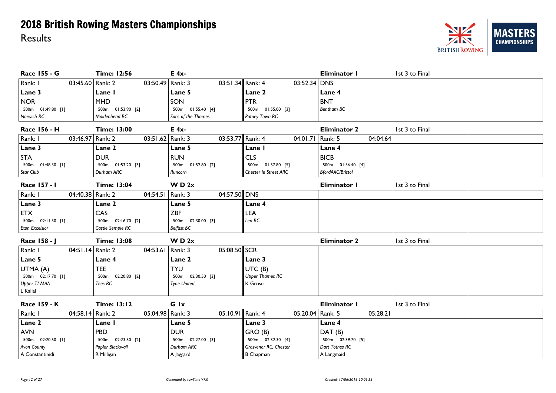

| <b>Race 155 - G</b>         | <b>Time: 12:56</b>  | E 4x-                   |                        | <b>Eliminator I</b> | 1st 3 to Final |
|-----------------------------|---------------------|-------------------------|------------------------|---------------------|----------------|
| Rank: I<br>03:45.60 Rank: 2 | 03:50.49   Rank: 3  | 03:51.34 Rank: 4        | $03:52.34$ DNS         |                     |                |
| Lane 3                      | Lane I              | Lane 5                  | Lane 2                 | Lane 4              |                |
| <b>NOR</b>                  | <b>MHD</b>          | SON                     | <b>PTR</b>             | <b>BNT</b>          |                |
| 500m 01:49.80 [1]           | 500m 01:53.90 [2]   | 500m 01:55.40 [4]       | 500m  01:55.00  [3]    | Bentham BC          |                |
| Norwich RC                  | Maidenhead RC       | Sons of the Thames      | Putney Town RC         |                     |                |
| <b>Race 156 - H</b>         | <b>Time: 13:00</b>  | $E$ 4x-                 |                        | <b>Eliminator 2</b> | 1st 3 to Final |
| Rank: I<br>03:46.97 Rank: 2 | 03:51.62   Rank: 3  | 03:53.77 Rank: 4        | 04:01.71   Rank: 5     | 04:04.64            |                |
| Lane 3                      | Lane 2              | Lane 5                  | Lane I                 | Lane 4              |                |
| <b>STA</b>                  | <b>DUR</b>          | <b>RUN</b>              | <b>CLS</b>             | <b>BICB</b>         |                |
| 500m  01:48.30 [1]          | 500m 01:53.20 [3]   | 500m  01:52.80  [2]     | 500m 01:57.80 [5]      | 500m  01:56.40 [4]  |                |
| Star Club                   | Durham ARC          | Runcorn                 | Chester le Street ARC  | BfordAAC/Bristol    |                |
| Race 157 - 1                | <b>Time: 13:04</b>  | W D 2x                  |                        | Eliminator I        | 1st 3 to Final |
| Rank: I<br>04:40.38 Rank: 2 | 04:54.51            | 04:57.50 DNS<br>Rank: 3 |                        |                     |                |
| Lane 3                      | Lane 2              | Lane 5                  | Lane 4                 |                     |                |
| <b>ETX</b>                  | CAS                 | <b>ZBF</b>              | LEA                    |                     |                |
| 500m  02:11.30 [1]          | 500m  02:16.70  [2] | 500m 02:30.00 [3]       | Lea RC                 |                     |                |
| <b>Eton Excelsior</b>       | Castle Semple RC    | Belfast BC              |                        |                     |                |
| Race 158 - J                | <b>Time: 13:08</b>  | W D 2x                  |                        | <b>Eliminator 2</b> | 1st 3 to Final |
| Rank: I<br>04:51.14 Rank: 2 | 04:53.61   Rank: 3  | 05:08.50 SCR            |                        |                     |                |
| Lane 5                      | Lane 4              | Lane 2                  | Lane 3                 |                     |                |
| UTMA (A)                    | <b>TEE</b>          | <b>TYU</b>              | UTC (B)                |                     |                |
| 500m  02:17.70  [1]         | 500m 02:20.80 [2]   | 500m 02:30.50 [3]       | <b>Upper Thames RC</b> |                     |                |
| Upper T/ MAA                | Tees RC             | <b>Tyne United</b>      | K Grose                |                     |                |
| L Kallal                    |                     |                         |                        |                     |                |
| <b>Race 159 - K</b>         | <b>Time: 13:12</b>  | Glx                     |                        | Eliminator I        | 1st 3 to Final |
| Rank: I<br>04:58.14 Rank: 2 | 05:04.98 Rank: 3    | 05:10.91 Rank: 4        | 05:20.04 Rank: 5       | 05:28.21            |                |
| Lane 2                      | Lane I              | Lane 5                  | Lane 3                 | Lane 4              |                |
| <b>AVN</b>                  | <b>PBD</b>          | <b>DUR</b>              | GRO (B)                | DAT (B)             |                |
| 500m  02:20.50 [1]          | 500m 02:23.50 [2]   | 500m  02:27.00  [3]     | 500m  02:32.30 [4]     | 500m  02:39.70  [5] |                |
| <b>Avon County</b>          | Poplar Blackwall    | Durham ARC              | Grosvenor RC, Chester  | Dart Totnes RC      |                |
| A Constantinidi             | R Milligan          | A Jaggard               | <b>B</b> Chapman       | A Langmaid          |                |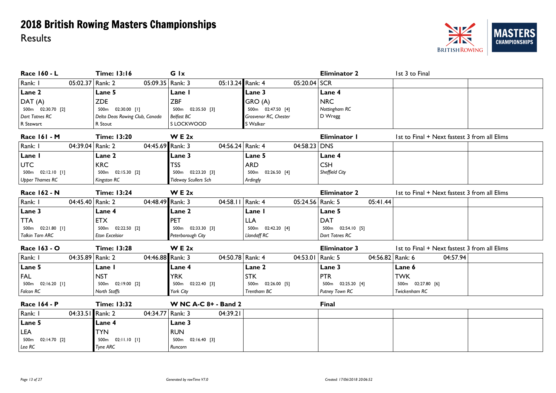

| Race 160 - L                | <b>Time: 13:16</b>               | G Ix                        |                                  | <b>Eliminator 2</b> | 1st 3 to Final                               |
|-----------------------------|----------------------------------|-----------------------------|----------------------------------|---------------------|----------------------------------------------|
| Rank: I<br>05:02.37 Rank: 2 | 05:09.35   Rank: 3               | 05:13.24 Rank: 4            | $05:20.04$ SCR                   |                     |                                              |
| Lane 2                      | Lane 5                           | Lane I                      | Lane 3                           | Lane 4              |                                              |
| DAT (A)                     | <b>ZDE</b>                       | <b>ZBF</b>                  | GRO (A)                          | <b>NRC</b>          |                                              |
| 500m 02:30.70 [2]           | 02:30.00 [1]<br>500 <sub>m</sub> | 500m 02:35.50 [3]           | 500m 02:47.50 [4]                | Nottingham RC       |                                              |
| Dart Totnes RC              | Delta Deas Rowing Club, Canada   | Belfast BC                  | Grosvenor RC, Chester            | D Wregg             |                                              |
| R Stewart                   | R Stout                          | S LOCKWOOD                  | S Walker                         |                     |                                              |
| Race 161 - M                | <b>Time: 13:20</b>               | W E 2x                      |                                  | Eliminator I        | 1st to Final + Next fastest 3 from all Elims |
| Rank: I<br>04:39.04 Rank: 2 | 04:45.69 Rank: 3                 | 04:56.24 Rank: 4            | $04:58.23$ DNS                   |                     |                                              |
| Lane I                      | Lane 2                           | Lane 3                      | Lane 5                           | Lane 4              |                                              |
| <b>UTC</b>                  | <b>KRC</b>                       | <b>TSS</b>                  | <b>ARD</b>                       | <b>CSH</b>          |                                              |
| 500m  02:12.10  [1]         | 500m 02:15.30 [2]                | 500m 02:23.20 [3]           | 500m 02:26.50 [4]                | Sheffield City      |                                              |
| <b>Upper Thames RC</b>      | <b>Kingston RC</b>               | <b>Tideway Scullers Sch</b> | Ardingly                         |                     |                                              |
| Race 162 - N                | <b>Time: 13:24</b>               | W E 2x                      |                                  | <b>Eliminator 2</b> | 1st to Final + Next fastest 3 from all Elims |
| Rank: I<br>04:45.40 Rank: 2 | 04:48.49 Rank: 3                 | 04:58.11 Rank: 4            | 05:24.56 Rank: 5                 | 05:41.44            |                                              |
| Lane 3                      | Lane 4                           | Lane 2                      | Lane I                           | Lane 5              |                                              |
| TTA                         | <b>ETX</b>                       | PET                         | <b>LLA</b>                       | <b>DAT</b>          |                                              |
| 500m 02:21.80 [1]           | 500m 02:22.50 [2]                | 500m 02:33.30 [3]           | 500m 02:42.20 [4]                | 500m 02:54.10 [5]   |                                              |
| Talkin Tarn ARC             | <b>Eton Excelsior</b>            | Peterborough City           | Llandaff RC                      | Dart Totnes RC      |                                              |
| Race 163 - O                | <b>Time: 13:28</b>               | W E 2x                      |                                  | <b>Eliminator 3</b> | 1st to Final + Next fastest 3 from all Elims |
| Rank: I<br>04:35.89 Rank: 2 | 04:46.88 Rank: 3                 | 04:50.78 Rank: 4            | 04:53.01   Rank: 5               | 04:56.82 Rank: 6    | 04:57.94                                     |
| Lane 5                      | Lane I                           | Lane 4                      | Lane 2                           | Lane 3              | Lane 6                                       |
| <b>FAL</b>                  | <b>NST</b>                       | <b>YRK</b>                  | <b>STK</b>                       | <b>PTR</b>          | <b>TWK</b>                                   |
| 500m 02:16.20 [1]           | 500m 02:19.00 [2]                | 500m  02:22.40  [3]         | 02:26.00 [5]<br>500 <sub>m</sub> | 500m 02:25.20 [4]   | 500m 02:27.80 [6]                            |
| Falcon RC                   | <b>North Staffs</b>              | York City                   | Trentham BC                      | Putney Town RC      | Twickenham RC                                |
| <b>Race 164 - P</b>         | <b>Time: 13:32</b>               | <b>W NC A-C 8+ - Band 2</b> |                                  | <b>Final</b>        |                                              |
| 04:33.51 Rank: 2<br>Rank: I | 04:34.77 Rank: 3                 | 04:39.21                    |                                  |                     |                                              |
| Lane 5                      | Lane 4                           | Lane 3                      |                                  |                     |                                              |
| LEA                         | <b>TYN</b>                       | <b>RUN</b>                  |                                  |                     |                                              |
| 500m  02:14.70  [2]         | 500m  02:11.10  [1]              | 500m 02:16.40 [3]           |                                  |                     |                                              |
| Lea RC                      | <b>Tyne ARC</b>                  | Runcorn                     |                                  |                     |                                              |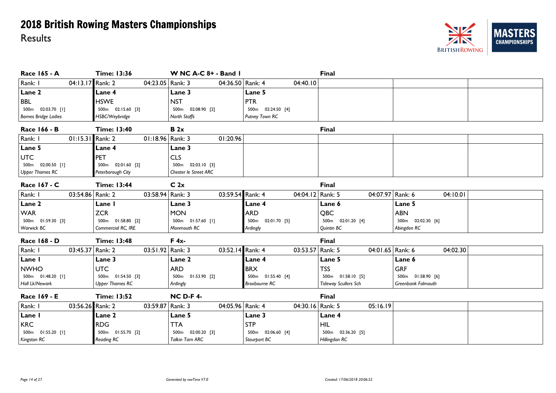

| <b>Race 165 - A</b>         | <b>Time: 13:36</b>     | W NC A-C 8+ - Band I   |                      | Final                       |                    |
|-----------------------------|------------------------|------------------------|----------------------|-----------------------------|--------------------|
| Rank: I<br>04:13.17 Rank: 2 | 04:23.05   Rank: 3     | 04:36.50 Rank: 4       | 04:40.10             |                             |                    |
| Lane 2                      | Lane 4                 | Lane 3                 | Lane 5               |                             |                    |
| <b>BBL</b>                  | <b>HSWE</b>            | <b>NST</b>             | <b>PTR</b>           |                             |                    |
| 500m 02:03.70 [1]           | 500m 02:15.60 [3]      | 500m 02:08.90 [2]      | 500m 02:24.50 [4]    |                             |                    |
| <b>Barnes Bridge Ladies</b> | HSBC/Weybridge         | North Staffs           | Putney Town RC       |                             |                    |
| Race 166 - B                | <b>Time: 13:40</b>     | B 2x                   |                      | <b>Final</b>                |                    |
| Rank: I<br>01:15.31 Rank: 2 | 01:18.96 Rank: 3       | 01:20.96               |                      |                             |                    |
| Lane 5                      | Lane 4                 | Lane 3                 |                      |                             |                    |
| <b>UTC</b>                  | PET                    | <b>CLS</b>             |                      |                             |                    |
| 500m 02:00.50 [1]           | 500m 02:01.60 [2]      | 500m 02:03.10 [3]      |                      |                             |                    |
| <b>Upper Thames RC</b>      | Peterborough City      | Chester le Street ARC  |                      |                             |                    |
| Race 167 - C                | <b>Time: 13:44</b>     | C <sub>2x</sub>        |                      | Final                       |                    |
| Rank: I<br>03:54.86 Rank: 2 | 03:58.94 Rank: 3       | 03:59.54 Rank: 4       | 04:04.12 Rank: 5     | 04:07.97 Rank: 6            | 04:10.01           |
| Lane 2                      | Lane I                 | Lane 3                 | Lane 4               | Lane 6                      | Lane 5             |
| <b>WAR</b>                  | <b>ZCR</b>             | <b>MON</b>             | <b>ARD</b>           | QBC                         | <b>ABN</b>         |
| 500m 01:59.30 [3]           | 500m 01:58.80 [2]      | 500m  01:57.60 [1]     | 500m 02:01.70 [5]    | 500m 02:01.20 [4]           | 500m 02:02.30 [6]  |
| Warwick BC                  | Commercial RC, IRE     | Monmouth RC            | Ardingly             | Quintin BC                  | Abingdon RC        |
| Race 168 - D                | <b>Time: 13:48</b>     | $F$ 4x-                |                      | <b>Final</b>                |                    |
| Rank: I<br>03:45.37 Rank: 2 | 03:51.92 Rank: 3       | 03:52.14 Rank: 4       | 03:53.57 Rank: 5     | 04:01.65 Rank: 6            | 04:02.30           |
| Lane I                      | <b>Lane 3</b>          | Lane 2                 | Lane 4               | Lane 5                      | Lane 6             |
| <b>NWHO</b>                 | <b>UTC</b>             | <b>ARD</b>             | <b>BRX</b>           | <b>TSS</b>                  | <b>GRF</b>         |
| 500m 01:48.20 [1]           | 500m 01:54.50 [3]      | 500m 01:53.90 [2]      | 500m  01:55.40 [4]   | 500m  01:58.10  [5]         | 500m 01:58.90 [6]  |
| Holl Lk/Newark              | <b>Upper Thames RC</b> | Ardingly               | <b>Broxbourne RC</b> | <b>Tideway Scullers Sch</b> | Greenbank Falmouth |
| Race 169 - E                | <b>Time: 13:52</b>     | <b>NC D-F 4-</b>       |                      | Final                       |                    |
| Rank: I<br>03:56.26 Rank: 2 | 03:59.87   Rank: 3     | 04:05.96 Rank: 4       | 04:30.16   Rank: 5   | 05:16.19                    |                    |
| Lane I                      | Lane 2                 | Lane 5                 | Lane 3               | Lane 4                      |                    |
| <b>KRC</b>                  | <b>RDG</b>             | <b>TTA</b>             | <b>STP</b>           | <b>HIL</b>                  |                    |
| 500m  01:55.20 [1]          | 500m 01:55.70 [2]      | 500m 02:00.20 [3]      | 500m 02:06.60 [4]    | 500m  02:36.20  [5]         |                    |
| Kingston RC                 | <b>Reading RC</b>      | <b>Talkin Tarn ARC</b> | Stourport BC         | Hillingdon RC               |                    |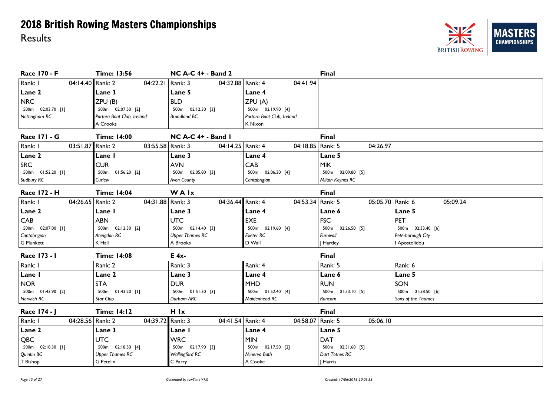

| Race 170 - F                | <b>Time: 13:56</b>         | <b>NC A-C 4+ - Band 2</b> |                            | <b>Final</b>        |                     |
|-----------------------------|----------------------------|---------------------------|----------------------------|---------------------|---------------------|
| Rank: I<br>04:14.40 Rank: 2 | 04:22.21   Rank: 3         | 04:32.88 Rank: 4          | 04:41.94                   |                     |                     |
| Lane 2                      | Lane 3                     | Lane 5                    | Lane 4                     |                     |                     |
| <b>NRC</b>                  | ZPU (B)                    | <b>BLD</b>                | ZPU(A)                     |                     |                     |
| 500m 02:03.70 [1]           | 500m 02:07.50 [2]          | 500m  02:12.30  [3]       | 500m 02:19.90 [4]          |                     |                     |
| Nottingham RC               | Portora Boat Club, Ireland | <b>Broadland BC</b>       | Portora Boat Club, Ireland |                     |                     |
|                             | A Crooks                   |                           | K Nixon                    |                     |                     |
| <b>Race 171 - G</b>         | <b>Time: 14:00</b>         | NC A-C 4+ - Band I        |                            | <b>Final</b>        |                     |
| Rank: I<br>03:51.87 Rank: 2 | 03:55.58   Rank: 3         | 04:14.25 Rank: 4          | 04:18.85   Rank: 5         | 04:26.97            |                     |
| Lane 2                      | Lane I                     | Lane 3                    | Lane 4                     | Lane 5              |                     |
| <b>SRC</b>                  | <b>CUR</b>                 | <b>AVN</b>                | CAB                        | <b>MIK</b>          |                     |
| 500m  01:52.20 [1]          | 500m  01:56.20 [2]         | 500m 02:05.80 [3]         | 500m 02:06.30 [4]          | 500m 02:09.80 [5]   |                     |
| Sudbury RC                  | Curlew                     | Avon County               | Cantabrigian               | Milton Keynes RC    |                     |
| <b>Race 172 - H</b>         | <b>Time: 14:04</b>         | <b>WAIx</b>               |                            | <b>Final</b>        |                     |
| Rank: I<br>04:26.65 Rank: 2 | 04:31.88   Rank: 3         | 04:36.44 Rank: 4          | 04:53.34 Rank: 5           | 05:05.70            | 05:09.24<br>Rank: 6 |
| Lane 2                      | Lane I                     | Lane 3                    | Lane 4                     | Lane 6              | Lane 5              |
| CAB                         | <b>ABN</b>                 | <b>UTC</b>                | <b>EXE</b>                 | <b>FSC</b>          | <b>PET</b>          |
| 500m 02:07.00 [1]           | 500m  02:12.30  [2]        | 500m  02:14.40  [3]       | 500m 02:19.60 [4]          | 500m  02:26.50  [5] | 500m  02:33.40  [6] |
| Cantabrigian                | Abingdon RC                | <b>Upper Thames RC</b>    | <b>Exeter RC</b>           | Furnivall           | Peterborough City   |
| G Plunkett                  | K Hall                     | A Brooks                  | D Wall                     | J Hartley           | I Apostolidou       |
| Race 173 - 1                | <b>Time: 14:08</b>         | $E$ 4x-                   |                            | <b>Final</b>        |                     |
| Rank: I                     | Rank: 2                    | Rank: 3                   | Rank: 4                    | Rank: 5             | Rank: 6             |
| Lane I                      | Lane 2                     | Lane 3                    | Lane 4                     | Lane 6              | Lane 5              |
| <b>NOR</b>                  | <b>STA</b>                 | <b>DUR</b>                | <b>MHD</b>                 | <b>RUN</b>          | SON                 |
| 500m 01:43.90 [2]           | 500m  01:43.20 [1]         | 500m  01:51.30  [3]       | 500m  01:52.40 [4]         | 500m  01:53.10  [5] | 500m 01:58.50 [6]   |
| Norwich RC                  | Star Club                  | Durham ARC                | Maidenhead RC              | Runcorn             | Sons of the Thames  |
| Race 174 - J                | <b>Time: 14:12</b>         | H Ix                      |                            | <b>Final</b>        |                     |
| Rank: I<br>04:28.56 Rank: 2 | 04:39.72 Rank: 3           | 04:41.54 Rank: 4          | 04:58.07 Rank: 5           | 05:06.10            |                     |
| Lane 2                      | Lane 3                     | Lane I                    | Lane 4                     | Lane 5              |                     |
| <b>QBC</b>                  | <b>UTC</b>                 | <b>WRC</b>                | <b>MIN</b>                 | <b>DAT</b>          |                     |
| 500m 02:10.30 [1]           | 500m  02:18.50 [4]         | 500m  02:17.90  [3]       | 500m 02:17.50 [2]          | 500m  02:31.60  [5] |                     |
| Quintin BC                  | <b>Upper Thames RC</b>     | Wallingford RC            | Minerva Bath               | Dart Totnes RC      |                     |
| T Bishop                    | G Petelin                  | C Parry                   | A Cooke                    | Harris              |                     |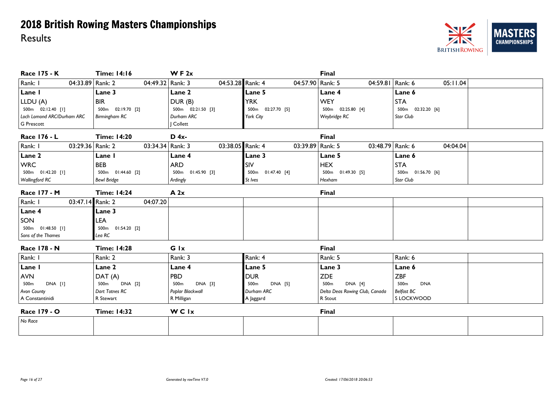

| <b>Race 175 - K</b>         | <b>Time: 14:16</b>               | WF $2x$             |                        | Final                              |                     |
|-----------------------------|----------------------------------|---------------------|------------------------|------------------------------------|---------------------|
| Rank: I<br>04:33.89 Rank: 2 | 04:49.32 Rank: 3                 | 04:53.28 Rank: 4    | 04:57.90   Rank: 5     | 04:59.81 Rank: 6                   | 05:11.04            |
| Lane I                      | Lane 3                           | Lane 2              | Lane 5                 | Lane 4                             | Lane 6              |
| LLDU (A)                    | <b>BIR</b>                       | DUR(B)              | <b>YRK</b>             | <b>WEY</b>                         | <b>STA</b>          |
| 500m 02:12.40 [1]           | 500m 02:19.70 [2]                | 500m  02:21.50  [3] | 500m  02:27.70  [5]    | 500m  02:25.80 [4]                 | 500m 02:32.20 [6]   |
| Loch Lomond ARC/Durham ARC  | Birmingham RC                    | Durham ARC          | York City              | Weybridge RC                       | Star Club           |
| G Prescott                  |                                  | Collett             |                        |                                    |                     |
| Race 176 - L                | <b>Time: 14:20</b>               | $D$ 4x-             |                        | Final                              |                     |
| Rank: I<br>03:29.36 Rank: 2 | 03:34.34 Rank: 3                 | 03:38.05 Rank: 4    | 03:39.89 Rank: 5       | 03:48.79 Rank: 6                   | 04:04.04            |
| Lane 2                      | Lane I                           | Lane 4              | Lane 3                 | Lane 5                             | Lane 6              |
| <b>WRC</b>                  | <b>BEB</b>                       | <b>ARD</b>          | SIV                    | <b>HEX</b>                         | <b>STA</b>          |
| 500m 01:42.20 [1]           | 500m 01:44.60 [2]                | 500m 01:45.90 [3]   | 500m  01:47.40 [4]     | 500m 01:49.30 [5]                  | 500m  01:56.70  [6] |
| <b>Wallingford RC</b>       | <b>Bewl Bridge</b>               | Ardingly            | St Ives                | Hexham                             | Star Club           |
| Race 177 - M                | <b>Time: 14:24</b>               | A 2x                |                        | <b>Final</b>                       |                     |
| Rank: I<br>03:47.14 Rank: 2 | 04:07.20                         |                     |                        |                                    |                     |
| Lane 4                      | Lane 3                           |                     |                        |                                    |                     |
| SON                         | LEA                              |                     |                        |                                    |                     |
| 500m 01:48.50 [1]           | 01:54.20 [2]<br>500 <sub>m</sub> |                     |                        |                                    |                     |
| Sons of the Thames          | Lea RC                           |                     |                        |                                    |                     |
| Race 178 - N                | <b>Time: 14:28</b>               | Glx                 |                        | <b>Final</b>                       |                     |
| Rank: I                     | Rank: 2                          | Rank: 3             | Rank: 4                | Rank: 5                            | Rank: 6             |
| Lane I                      | Lane 2                           | Lane 4              | Lane 5                 | Lane 3                             | Lane 6              |
| <b>AVN</b>                  | DAT (A)                          | <b>PBD</b>          | <b>DUR</b>             | <b>ZDE</b>                         | <b>ZBF</b>          |
| DNA [I]<br>500m             | 500m<br><b>DNA</b> [2]           | DNA [3]<br>500m     | <b>DNA [5]</b><br>500m | 500 <sub>m</sub><br><b>DNA</b> [4] | 500m<br><b>DNA</b>  |
| <b>Avon County</b>          | Dart Totnes RC                   | Poplar Blackwall    | Durham ARC             | Delta Deas Rowing Club, Canada     | <b>Belfast BC</b>   |
| A Constantinidi             | R Stewart                        | R Milligan          | A Jaggard              | R Stout                            | S LOCKWOOD          |
| Race 179 - O                | <b>Time: 14:32</b>               | WCIx                |                        | <b>Final</b>                       |                     |
| No Race                     |                                  |                     |                        |                                    |                     |
|                             |                                  |                     |                        |                                    |                     |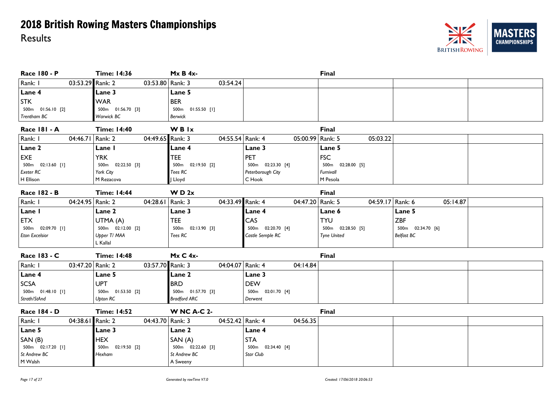

| <b>Race 180 - P</b>         | <b>Time: 14:36</b>  | $MxB4x$ -           |                     | <b>Final</b>        |                   |  |
|-----------------------------|---------------------|---------------------|---------------------|---------------------|-------------------|--|
| 03:53.29 Rank: 2<br>Rank: I | 03:53.80 Rank: 3    | 03:54.24            |                     |                     |                   |  |
| Lane 4                      | Lane 3              | Lane 5              |                     |                     |                   |  |
| <b>STK</b>                  | <b>WAR</b>          | <b>BER</b>          |                     |                     |                   |  |
| 500m  01:56.10  [2]         | 500m  01:56.70 [3]  | 500m  01:55.50 [1]  |                     |                     |                   |  |
| Trentham BC                 | Warwick BC          | <b>Berwick</b>      |                     |                     |                   |  |
| <b>Race 181 - A</b>         | <b>Time: 14:40</b>  | <b>WBIx</b>         |                     | <b>Final</b>        |                   |  |
| Rank: I<br>04:46.71 Rank: 2 | 04:49.65 Rank: 3    | 04:55.54 Rank: 4    | 05:00.99 Rank: 5    | 05:03.22            |                   |  |
| Lane 2                      | Lane I              | Lane 4              | Lane 3              | Lane 5              |                   |  |
| EXE                         | <b>YRK</b>          | <b>TEE</b>          | <b>PET</b>          | <b>FSC</b>          |                   |  |
| 500m  02:13.60  [1]         | 500m 02:22.50 [3]   | 500m 02:19.50 [2]   | 500m  02:23.30 [4]  | 500m  02:28.00  [5] |                   |  |
| <b>Exeter RC</b>            | York City           | Tees RC             | Peterborough City   | Furnivall           |                   |  |
| H Ellison                   | M Rezacova          | J Lloyd             | C Hook              | M Pesola            |                   |  |
| <b>Race 182 - B</b>         | <b>Time: 14:44</b>  | W D 2x              |                     | <b>Final</b>        |                   |  |
| Rank: I<br>04:24.95 Rank: 2 | 04:28.61   Rank: 3  | 04:33.49 Rank: 4    | 04:47.20 Rank: 5    | 04:59.17 Rank: 6    | 05:14.87          |  |
| Lane I                      | Lane 2              | Lane 3              | Lane 4              | Lane 6              | Lane 5            |  |
| <b>ETX</b>                  | UTMA (A)            | <b>TEE</b>          | CAS                 | <b>TYU</b>          | <b>ZBF</b>        |  |
| 500m 02:09.70 [1]           | 500m 02:12.00 [2]   | 500m  02:13.90  [3] | 500m 02:20.70 [4]   | 500m 02:28.50 [5]   | 500m 02:34.70 [6] |  |
| <b>Eton Excelsior</b>       | Upper T/ MAA        | Tees RC             | Castle Semple RC    | <b>Tyne United</b>  | <b>Belfast BC</b> |  |
|                             | L Kallal            |                     |                     |                     |                   |  |
| Race 183 - C                | <b>Time: 14:48</b>  | $Mx C 4x$ -         |                     | Final               |                   |  |
| Rank: I<br>03:47.20 Rank: 2 | 03:57.70 Rank: 3    | 04:04.07 Rank: 4    | 04:14.84            |                     |                   |  |
| Lane 4                      | Lane 5              | Lane 2              | Lane 3              |                     |                   |  |
| <b>SCSA</b>                 | <b>UPT</b>          | <b>BRD</b>          | <b>DEW</b>          |                     |                   |  |
| 500m  01:48.10  [1]         | 500m 01:53.50 [2]   | 500m  01:57.70  [3] | 500m 02:01.70 [4]   |                     |                   |  |
| Strath/StAnd                | Upton RC            | <b>Bradford ARC</b> | Derwent             |                     |                   |  |
| <b>Race 184 - D</b>         | <b>Time: 14:52</b>  | <b>W NC A-C 2-</b>  |                     | <b>Final</b>        |                   |  |
| Rank: I<br>04:38.61 Rank: 2 | 04:43.70 Rank: 3    | 04:52.42 Rank: 4    | 04:56.35            |                     |                   |  |
| Lane 5                      | Lane 3              | Lane 2              | Lane 4              |                     |                   |  |
| SAN(B)                      | <b>HEX</b>          | SAN (A)             | <b>STA</b>          |                     |                   |  |
| 500m  02:17.20 [1]          | 500m  02:19.50  [2] | 500m 02:22.60 [3]   | 500m  02:34.40  [4] |                     |                   |  |
| St Andrew BC                | Hexham              | St Andrew BC        | Star Club           |                     |                   |  |
| $ M$ Walsh                  |                     | A Sweeny            |                     |                     |                   |  |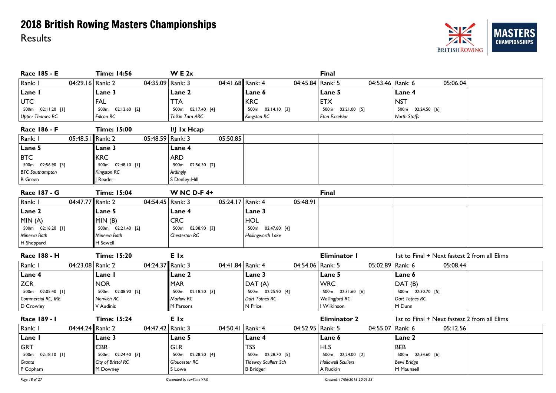

| Race 185 - E                | <b>Time: 14:56</b>               | W E 2x                 |                             | <b>Final</b>                           |                                              |
|-----------------------------|----------------------------------|------------------------|-----------------------------|----------------------------------------|----------------------------------------------|
| Rank: I<br>04:29.16 Rank: 2 | 04:35.09 Rank: 3                 | 04:41.68 Rank: 4       | 04:45.84                    | Rank: 5<br>04:53.46 Rank: 6            | 05:06.04                                     |
| Lane I                      | Lane 3                           | Lane 2                 | Lane 6                      | Lane 5                                 | Lane 4                                       |
| <b>UTC</b>                  | <b>FAL</b>                       | <b>TTA</b>             | <b>KRC</b>                  | <b>ETX</b>                             | <b>NST</b>                                   |
| 500m  02:11.20 [1]          | 02:12.60 [2]<br>500 <sub>m</sub> | 500m  02:17.40  [4]    | 500m  02:14.10  [3]         | 500m<br>02:21.00 [5]                   | 500m 02:24.50 [6]                            |
| <b>Upper Thames RC</b>      | Falcon RC                        | <b>Talkin Tarn ARC</b> | Kingston RC                 | <b>Eton Excelsior</b>                  | North Staffs                                 |
| <b>Race 186 - F</b>         | <b>Time: 15:00</b>               | I/J Ix Hcap            |                             |                                        |                                              |
| Rank: I<br>05:48.51         | Rank: 2<br>05:48.59 Rank: 3      | 05:50.85               |                             |                                        |                                              |
| Lane 5                      | Lane 3                           | Lane 4                 |                             |                                        |                                              |
| <b>BTC</b>                  | <b>KRC</b>                       | <b>ARD</b>             |                             |                                        |                                              |
| 500m  02:56.90  [3]         | 500m  02:48.10 [1]               | 500m  02:56.30  [2]    |                             |                                        |                                              |
| <b>BTC</b> Southampton      | Kingston RC                      | Ardingly               |                             |                                        |                                              |
| R Green                     | Reader                           | S Denley-Hill          |                             |                                        |                                              |
| <b>Race 187 - G</b>         | <b>Time: 15:04</b>               | <b>W NC D-F 4+</b>     |                             | <b>Final</b>                           |                                              |
| 04:47.77<br>Rank: I         | Rank: 2<br>04:54.45   Rank: 3    | 05:24.17 Rank: 4       | 05:48.91                    |                                        |                                              |
| Lane 2                      | Lane 5                           | Lane 4                 | Lane 3                      |                                        |                                              |
| MIN(A)                      | MIN(B)                           | <b>CRC</b>             | HOL                         |                                        |                                              |
| 500m 02:16.20 [1]           | 500m 02:21.40 [2]                | 02:38.90 [3]<br>500m   | 500m 02:47.80 [4]           |                                        |                                              |
| Minerva Bath                | Minerva Bath                     | Chesterton RC          | Hollingworth Lake           |                                        |                                              |
| H Sheppard                  | <b>H</b> Sewell                  |                        |                             |                                        |                                              |
| <b>Race 188 - H</b>         | <b>Time: 15:20</b>               | E Ix                   |                             | <b>Eliminator I</b>                    | 1st to Final + Next fastest 2 from all Elims |
| Rank: I<br>04:23.08 Rank: 2 | 04:24.37 Rank: 3                 | 04:41.84 Rank: 4       |                             | 04:54.06   Rank: 5<br>05:02.89 Rank: 6 | 05:08.44                                     |
| Lane 4                      | Lane I                           | Lane 2                 | Lane 3                      | Lane 5                                 | Lane 6                                       |
| <b>ZCR</b>                  | <b>NOR</b>                       | <b>MAR</b>             | DAT(A)                      | <b>WRC</b>                             | DAT(B)                                       |
| 500m 02:05.40 [1]           | 500m 02:08.90 [2]                | 500m  02:18.20  [3]    | 500m 02:25.90 [4]           | 500m  02:31.60  [6]                    | 500m 02:30.70 [5]                            |
| Commercial RC, IRE          | Norwich RC                       | Marlow RC              | Dart Totnes RC              | Wallingford RC                         | Dart Totnes RC                               |
| D Crowley                   | V Audinis                        | M Parsons              | N Price                     | I Wilkinson                            | M Dunn                                       |
| Race 189 - 1                | <b>Time: 15:24</b>               | E Ix                   |                             | <b>Eliminator 2</b>                    | 1st to Final + Next fastest 2 from all Elims |
| Rank: I<br>04:44.24 Rank: 2 | 04:47.42 Rank: 3                 | 04:50.41   Rank: 4     |                             | 04:52.95 Rank: 5<br>04:55.07 Rank: 6   | 05:12.56                                     |
| Lane I                      | Lane 3                           | Lane 5                 | Lane 4                      | Lane 6                                 | Lane 2                                       |
| <b>GRT</b>                  | <b>CBR</b>                       | <b>GLR</b>             | <b>TSS</b>                  | <b>HLS</b>                             | <b>BEB</b>                                   |
| 500m  02:18.10  [1]         | 500m  02:24.40  [3]              | 500m 02:28.20 [4]      | 500m  02:28.70  [5]         | 500m  02:24.00  [2]                    | 500m  02:34.60  [6]                          |
| Granta                      | City of Bristol RC               | Gloucester RC          | <b>Tideway Scullers Sch</b> | <b>Hollowell Scullers</b>              | <b>Bewl Bridge</b>                           |
| $P$ Copham                  | M Downey                         | S Lowe                 | <b>B</b> Bridger            | A Rudkin                               | M Maunsell                                   |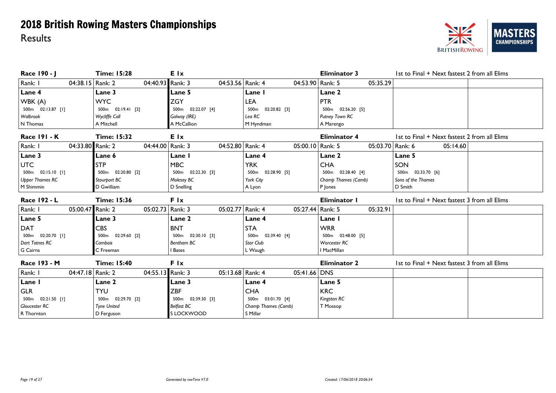#### **NZ MAST** ERS **CHAMPIONSHIPS BRITISH ROWING**

| Race 190 - J                | <b>Time: 15:28</b>   | <b>E</b> Ix                            |                      | <b>Eliminator 3</b> | 1st to Final + Next fastest 2 from all Elims |
|-----------------------------|----------------------|----------------------------------------|----------------------|---------------------|----------------------------------------------|
| Rank: I<br>04:38.15 Rank: 2 |                      | 04:40.93 Rank: 3<br>04:53.56 Rank: 4   | 04:53.90 Rank: 5     | 05:35.29            |                                              |
| Lane 4                      | Lane 3               | Lane 5                                 | Lane I               | Lane 2              |                                              |
| WBK (A)                     | <b>WYC</b>           | <b>ZGY</b>                             | <b>LEA</b>           | <b>PTR</b>          |                                              |
| 500m 02:13.87 [1]           | 500m 02:19.41 [2]    | 500m 02:22.07 [4]                      | 500m 02:20.82 [3]    | 500m 02:56.20 [5]   |                                              |
| Walbrook                    | <b>Wycliffe Coll</b> | Galway (IRE)                           | Lea RC               | Putney Town RC      |                                              |
| N Thomas                    | A Mitchell           | A McCallion                            | M Hyndman            | A Marengo           |                                              |
| <b>Race 191 - K</b>         | <b>Time: 15:32</b>   | <b>E</b> Ix                            |                      | <b>Eliminator 4</b> | 1st to Final + Next fastest 2 from all Elims |
| Rank: I<br>04:33.80 Rank: 2 |                      | 04:44.00   Rank: 3<br>04:52.80 Rank: 4 | 05:00.10   Rank: 5   | 05:03.70 Rank: 6    | 05:14.60                                     |
| Lane 3                      | Lane 6               | Lane I                                 | Lane 4               | Lane 2              | Lane 5                                       |
| <b>UTC</b>                  | <b>STP</b>           | <b>MBC</b>                             | <b>YRK</b>           | <b>CHA</b>          | SON                                          |
| 500m 02:15.10 [1]           | 500m 02:20.80 [2]    | 500m 02:22.30 [3]                      | 02:28.90 [5]<br>500m | 500m 02:28.40 [4]   | 500m 02:33.70 [6]                            |
| <b>Upper Thames RC</b>      | Stourport BC         | Molesey BC                             | York City            | Champ Thames (Camb) | Sons of the Thames                           |
| M Shimmin                   | D Gwilliam           | D Snelling                             | A Lyon               | P Jones             | D Smith                                      |
|                             |                      |                                        |                      |                     |                                              |
| Race 192 - L                | <b>Time: 15:36</b>   | <b>F</b> Ix                            |                      | Eliminator I        | 1st to Final + Next fastest 3 from all Elims |
| 05:00.47 Rank: 2<br>Rank: I |                      | 05:02.77 Rank: 4<br>05:02.73 Rank: 3   | 05:27.44 Rank: 5     | 05:32.91            |                                              |
| Lane 5                      | Lane 3               | Lane 2                                 | Lane 4               | Lane I              |                                              |
| <b>DAT</b>                  | <b>CBS</b>           | <b>BNT</b>                             | <b>STA</b>           | <b>WRR</b>          |                                              |
| 500m 02:20.70 [1]           | 500m 02:29.60 [2]    | 500m 02:30.10 [3]                      | 500m 02:39.40 [4]    | 500m 02:48.00 [5]   |                                              |
| Dart Totnes RC              | Cambois              | Bentham BC                             | <b>Star Club</b>     | Worcester RC        |                                              |
| G Cairns                    | C Freeman            | <b>Bates</b>                           | L Waugh              | I MacMillan         |                                              |
| Race 193 - M                | <b>Time: 15:40</b>   | F Ix                                   |                      | <b>Eliminator 2</b> | 1st to Final + Next fastest 3 from all Elims |
| Rank: I<br>04:47.18 Rank: 2 |                      | 04:55.13 Rank: 3<br>05:13.68 Rank: 4   | 05:41.66 DNS         |                     |                                              |
| Lane I                      | Lane 2               | Lane 3                                 | Lane 4               | Lane 5              |                                              |
| <b>GLR</b>                  | TYU                  | <b>ZBF</b>                             | <b>CHA</b>           | <b>KRC</b>          |                                              |
| 500m  02:21.50 [1]          | 500m 02:29.70 [2]    | 500m 02:39.30 [3]                      | 500m 03:01.70 [4]    | Kingston RC         |                                              |
| <b>Gloucester RC</b>        | <b>Tyne United</b>   | <b>Belfast BC</b>                      | Champ Thames (Camb)  | T Mossop            |                                              |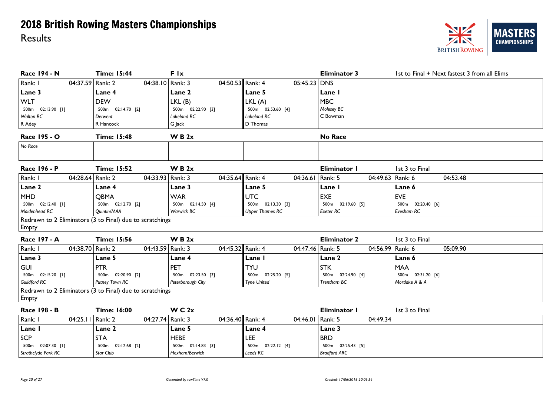

| Race 194 - N                  | <b>Time: 15:44</b>                                       | Flx                 |                        | <b>Eliminator 3</b>         | 1st to Final + Next fastest 3 from all Elims |
|-------------------------------|----------------------------------------------------------|---------------------|------------------------|-----------------------------|----------------------------------------------|
| 04:37.59 Rank: 2<br>Rank: I   | 04:38.10 Rank: 3                                         | 04:50.53 Rank: 4    | $05:45.23$ DNS         |                             |                                              |
| Lane 3                        | Lane 4                                                   | Lane 2              | Lane 5                 | Lane I                      |                                              |
| <b>WLT</b>                    | <b>DEW</b>                                               | LKL(B)              | LKL(A)                 | <b>MBC</b>                  |                                              |
| 500m 02:13.90 [1]             | 500m 02:14.70 [2]                                        | 500m 02:22.90 [3]   | 500m 02:53.60 [4]      | Molesey BC                  |                                              |
| <b>Walton RC</b>              | Derwent                                                  | Lakeland RC         | Lakeland RC            | C Bowman                    |                                              |
| R Adey                        | R Hancock                                                | G Jack              | D Thomas               |                             |                                              |
| Race 195 - O                  | <b>Time: 15:48</b>                                       | W B 2x              |                        | <b>No Race</b>              |                                              |
| No Race                       |                                                          |                     |                        |                             |                                              |
| Race 196 - P                  | <b>Time: 15:52</b>                                       | W B 2x              |                        | Eliminator I                | 1st 3 to Final                               |
| Rank: I<br>04:28.64 Rank: 2   | 04:33.93   Rank: 3                                       | 04:35.64 Rank: 4    | 04:36.61               | Rank: 5<br>04:49.63 Rank: 6 | 04:53.48                                     |
| Lane 2                        | Lane 4                                                   | Lane 3              | Lane 5                 | Lane I                      | Lane 6                                       |
| <b>MHD</b>                    | <b>OBMA</b>                                              | <b>WAR</b>          | UTC                    | <b>EXE</b>                  | <b>EVE</b>                                   |
| 500m 02:12.40 [1]             | 500m 02:12.70 [2]                                        | 500m 02:14.50 [4]   | 500m  02:13.30  [3]    | 500m  02:19.60  [5]         | 500m 02:20.40 [6]                            |
| Maidenhead RC                 | Quintin/MAA                                              | Warwick BC          | <b>Upper Thames RC</b> | Exeter RC                   | Evesham RC                                   |
| <b>Empty</b>                  | Redrawn to 2 Eliminators (3 to Final) due to scratchings |                     |                        |                             |                                              |
| <b>Race 197 - A</b>           | <b>Time: 15:56</b>                                       | W B 2x              |                        | <b>Eliminator 2</b>         | 1st 3 to Final                               |
| 04:38.70 Rank: 2<br>Rank: I   | 04:43.59 Rank: 3                                         | 04:45.32 Rank: 4    | 04:47.46 Rank: 5       | 04:56.99 Rank: 6            | 05:09.90                                     |
| Lane 3                        | Lane 5                                                   | Lane 4              | Lane I                 | Lane 2                      | Lane 6                                       |
| <b>GUI</b>                    | <b>PTR</b>                                               | PET                 | <b>TYU</b>             | <b>STK</b>                  | <b>MAA</b>                                   |
| 500m  02:15.20 [1]            | 500m 02:20.90 [2]                                        | 500m 02:23.50 [3]   | 500m 02:25.20 [5]      | 500m 02:24.90 [4]           | 500m 02:31.20 [6]                            |
| Guildford RC                  | Putney Town RC                                           | Peterborough City   | <b>Tyne United</b>     | Trentham BC                 | Mortlake A & A                               |
|                               | Redrawn to 2 Eliminators (3 to Final) due to scratchings |                     |                        |                             |                                              |
| Empty                         |                                                          |                     |                        |                             |                                              |
| Race 198 - B                  | <b>Time: 16:00</b>                                       | W C 2x              |                        | <b>Eliminator I</b>         | 1st 3 to Final                               |
| Rank: I<br>04:25.11   Rank: 2 | 04:27.74 Rank: 3                                         | 04:36.40 Rank: 4    | 04:46.01   Rank: 5     | 04:49.34                    |                                              |
| Lane I                        | Lane 2                                                   | Lane 5              | Lane 4                 | Lane 3                      |                                              |
| <b>SCP</b>                    | <b>STA</b>                                               | <b>HEBE</b>         | LEE                    | <b>BRD</b>                  |                                              |
| 500m 02:07.30 [1]             | 500m 02:12.68 [2]                                        | 500m  02:14.83  [3] | 500m  02:22.12 [4]     | 500m  02:25.43  [5]         |                                              |

*Leeds RC*

*Strathclyde Park RC*

*Star Club*

*Hexham/Berwick*

*Bradford ARC*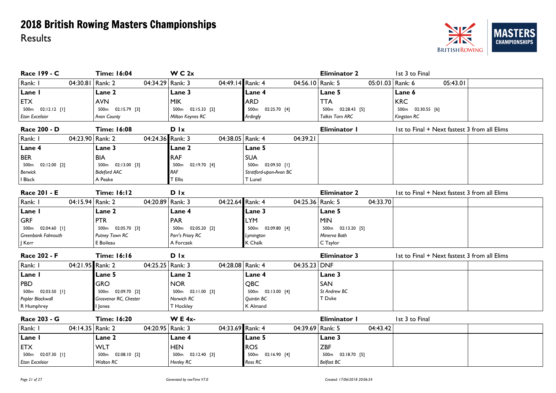

| Race 199 - C                  | <b>Time: 16:04</b>    | W C 2x                      |                        | <b>Eliminator 2</b> | 1st 3 to Final                               |
|-------------------------------|-----------------------|-----------------------------|------------------------|---------------------|----------------------------------------------|
| Rank: I<br>04:30.81   Rank: 2 | 04:34.29 Rank: 3      | 04:49.14 Rank: 4            | 04:56.10 Rank: 5       | 05:01.03 Rank: 6    | 05:43.01                                     |
| Lane I                        | Lane 2                | Lane 3                      | Lane 4                 | Lane 5              | Lane 6                                       |
| <b>ETX</b>                    | <b>AVN</b>            | <b>MIK</b>                  | <b>ARD</b>             | <b>TTA</b>          | <b>KRC</b>                                   |
| 500m  02:12.12  [1]           | 500m 02:15.79 [3]     | 500m 02:15.33 [2]           | 02:25.70 [4]<br>500m   | 500m  02:28.43  [5] | 500m 02:30.55 [6]                            |
| <b>Eton Excelsior</b>         | Avon County           | Milton Keynes RC            | Ardingly               | Talkin Tarn ARC     | Kingston RC                                  |
| Race 200 - D                  | <b>Time: 16:08</b>    | D Ix                        |                        | Eliminator I        | 1st to Final + Next fastest 3 from all Elims |
| Rank: I<br>04:23.90 Rank: 2   | 04:24.36 Rank: 3      | 04:38.05   Rank: 4          | 04:39.21               |                     |                                              |
| Lane 4                        | Lane 3                | <b>Lane 2</b>               | Lane 5                 |                     |                                              |
| <b>BER</b>                    | <b>BIA</b>            | <b>RAF</b>                  | <b>SUA</b>             |                     |                                              |
| 500m 02:12.00 [2]             | 500m 02:13.00 [3]     | 500m 02:19.70 [4]           | 500m 02:09.50 [1]      |                     |                                              |
| <b>Berwick</b>                | <b>Bideford AAC</b>   | RAF                         | Stratford-upon-Avon BC |                     |                                              |
| I Black                       | A Peake               | T Ellis                     | T Lunel                |                     |                                              |
| Race 201 - E                  | <b>Time: 16:12</b>    | <b>D</b> Ix                 |                        | <b>Eliminator 2</b> | 1st to Final + Next fastest 3 from all Elims |
| 04:15.94 Rank: 2<br>Rank: I   | 04:20.89   Rank: 3    | 04:22.64 Rank: 4            | 04:25.36   Rank: 5     | 04:33.70            |                                              |
| Lane I                        | Lane 2                | Lane 4                      | <b>Lane 3</b>          | Lane 5              |                                              |
| <b>GRF</b>                    | <b>PTR</b>            | <b>PAR</b>                  | <b>LYM</b>             | <b>MIN</b>          |                                              |
| 500m 02:04.60 [1]             | 500m 02:05.70 [3]     | 500m 02:05.20 [2]           | 500m 02:09.80 [4]      | 500m 02:13.20 [5]   |                                              |
| Greenbank Falmouth            | Putney Town RC        | Parr's Priory RC            | Lymington              | Minerva Bath        |                                              |
| J Kerr                        | E Boileau             | A Forczek                   | K Chalk                | C Taylor            |                                              |
| Race 202 - F                  | <b>Time: 16:16</b>    | $D$ $\mathsf{I} \mathsf{x}$ |                        | <b>Eliminator 3</b> | 1st to Final + Next fastest 3 from all Elims |
| Rank: I<br>04:21.95 Rank: 2   | 04:25.25   Rank: 3    | 04:28.08 Rank: 4            | 04:35.23 DNF           |                     |                                              |
| Lane I                        | <b>Lane 5</b>         | Lane 2                      | Lane 4                 | Lane 3              |                                              |
| <b>PBD</b>                    | <b>GRO</b>            | <b>NOR</b>                  | QBC                    | SAN                 |                                              |
| 500m 02:03.50 [1]             | 500m 02:09.70 [2]     | 500m 02:11.00 [3]           | 500m 02:13.00 [4]      | St Andrew BC        |                                              |
| Poplar Blackwall              | Grosvenor RC, Chester | Norwich RC                  | Quintin BC             | T Duke              |                                              |
| R Humphrey                    | lones                 | T Hockley                   | K Almand               |                     |                                              |
| Race 203 - G                  | <b>Time: 16:20</b>    | <b>WE 4x-</b>               |                        | Eliminator I        | 1st 3 to Final                               |
| Rank: I<br>04:14.35 Rank: 2   | 04:20.95   Rank: 3    | 04:33.69 Rank: 4            | 04:39.69 Rank: 5       | 04:43.42            |                                              |
| Lane I                        | Lane 2                | Lane 4                      | Lane 5                 | Lane 3              |                                              |
| <b>ETX</b>                    | <b>WLT</b>            | <b>HEN</b>                  | <b>ROS</b>             | <b>ZBF</b>          |                                              |
| 500m 02:07.30 [1]             | 500m 02:08.10 [2]     | 500m 02:12.40 [3]           | 02:16.90 [4]<br>500m   | 500m 02:18.70 [5]   |                                              |
| <b>Eton Excelsior</b>         | <b>Walton RC</b>      | Henley RC                   | Ross RC                | <b>Belfast BC</b>   |                                              |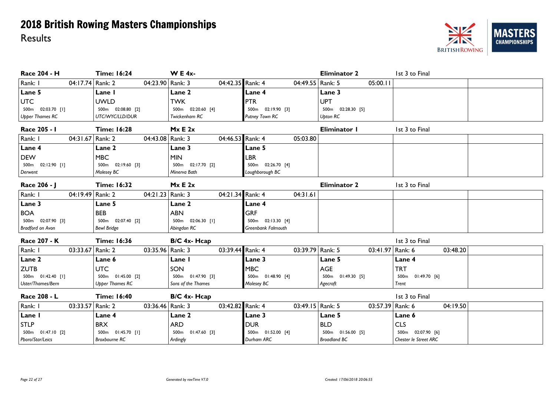

| Race 204 - H           | <b>Time: 16:24</b>                     | <b>WE4x-</b>       |                    | <b>Eliminator 2</b> | 1st 3 to Final        |
|------------------------|----------------------------------------|--------------------|--------------------|---------------------|-----------------------|
| Rank: I                | 04:17.74 Rank: 2<br>04:23.90 Rank: 3   | 04:42.35 Rank: 4   | 04:49.55   Rank: 5 | 05:00.11            |                       |
| Lane 5                 | Lane I                                 | Lane 2             | Lane 4             | Lane 3              |                       |
| <b>UTC</b>             | <b>UWLD</b>                            | <b>TWK</b>         | <b>PTR</b>         | <b>UPT</b>          |                       |
| 500m 02:03.70 [I]      | 500m 02:08.80 [2]                      | 500m 02:20.60 [4]  | 500m 02:19.90 [3]  | 500m 02:28.30 [5]   |                       |
| <b>Upper Thames RC</b> | UTC/WYC/LLD/DUR                        | Twickenham RC      | Putney Town RC     | <b>Upton RC</b>     |                       |
| Race 205 - I           | <b>Time: 16:28</b>                     | Mx E 2x            |                    | Eliminator I        | 1st 3 to Final        |
| Rank: I                | 04:43.08   Rank: 3<br>04:31.67 Rank: 2 | 04:46.53 Rank: 4   | 05:03.80           |                     |                       |
| Lane 4                 | Lane 2                                 | Lane 3             | Lane 5             |                     |                       |
| <b>DEW</b>             | <b>MBC</b>                             | <b>MIN</b>         | LBR                |                     |                       |
| 500m  02:12.90  [1]    | 500m  02:19.60  [3]                    | 500m 02:17.70 [2]  | 500m  02:26.70 [4] |                     |                       |
| Derwent                | Molesey BC                             | Minerva Bath       | Loughborough BC    |                     |                       |
| Race 206 - J           | <b>Time: 16:32</b>                     | Mx E 2x            |                    | <b>Eliminator 2</b> | 1st 3 to Final        |
| Rank: I                | 04:19.49 Rank: 2<br>04:21.23   Rank: 3 | 04:21.34 Rank: 4   | 04:31.61           |                     |                       |
| Lane 3                 | Lane 5                                 | Lane 2             | Lane 4             |                     |                       |
| <b>BOA</b>             | <b>BEB</b>                             | <b>ABN</b>         | <b>GRF</b>         |                     |                       |
| 500m 02:07.90 [3]      | 500m 02:07.40 [2]                      | 500m 02:06.30 [1]  | 500m 02:13.30 [4]  |                     |                       |
| Bradford on Avon       | <b>Bewl Bridge</b>                     | Abingdon RC        | Greenbank Falmouth |                     |                       |
| Race 207 - K           | <b>Time: 16:36</b>                     | B/C 4x- Hcap       |                    |                     | 1st 3 to Final        |
| Rank: I                | 03:33.67 Rank: 2<br>03:35.96   Rank: 3 | 03:39.44 Rank: 4   | 03:39.79 Rank: 5   | 03:41.97 Rank: 6    | 03:48.20              |
| Lane 2                 | Lane 6                                 | Lane I             | <b>Lane 3</b>      | Lane 5              | Lane 4                |
| <b>ZUTB</b>            | <b>UTC</b>                             | SON                | <b>MBC</b>         | <b>AGE</b>          | <b>TRT</b>            |
| 500m  01:42.40  [1]    | 500m 01:45.00 [2]                      | 500m 01:47.90 [3]  | 500m  01:48.90 [4] | 500m  01:49.30  [5] | 500m  01:49.70  [6]   |
| Uster/Thames/Bern      | <b>Upper Thames RC</b>                 | Sons of the Thames | Molesey BC         | Agecroft            | Trent                 |
| Race 208 - L           | <b>Time: 16:40</b>                     | $B/C$ 4x- $Hcap$   |                    |                     | 1st 3 to Final        |
| Rank: I                | 03:33.57 Rank: 2<br>03:36.46   Rank: 3 | 03:42.82 Rank: 4   | 03:49.15   Rank: 5 | 03:57.39 Rank: 6    | 04:19.50              |
| Lane I                 | Lane 4                                 | Lane 2             | Lane 3             | Lane 5              | Lane 6                |
| <b>STLP</b>            | <b>BRX</b>                             | <b>ARD</b>         | <b>DUR</b>         | <b>BLD</b>          | <b>CLS</b>            |
| 500m  01:47.10  [2]    | 500m  01:45.70 [1]                     | 500m 01:47.60 [3]  | 500m 01:52.00 [4]  | 500m 01:56.00 [5]   | 500m 02:07.90 [6]     |
| Pboro/Star/Leics       | <b>Broxbourne RC</b>                   | Ardingly           | Durham ARC         | <b>Broadland BC</b> | Chester le Street ARC |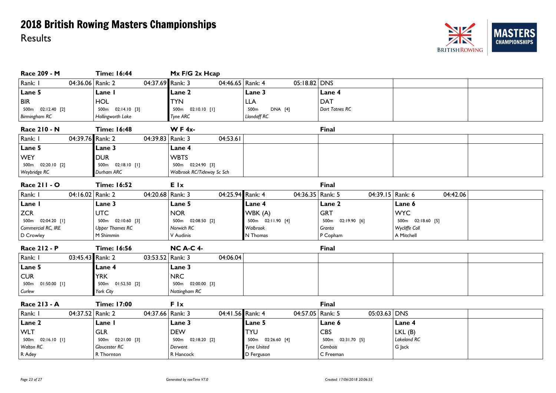#### NZ ERS **MAST CHAMPIONSHIPS BRITISH ROWING**

| Race 209 - M                | <b>Time: 16:44</b>     | Mx F/G 2x Hcap             |                    |                     |                   |
|-----------------------------|------------------------|----------------------------|--------------------|---------------------|-------------------|
| Rank: I<br>04:36.06 Rank: 2 | 04:37.69 Rank: 3       | 04:46.65   Rank: 4         | $05:18.82$ DNS     |                     |                   |
| Lane 5                      | Lane I                 | <b>Lane 2</b>              | Lane 3             | Lane 4              |                   |
| <b>BIR</b>                  | <b>HOL</b>             | <b>TYN</b>                 | <b>LLA</b>         | <b>DAT</b>          |                   |
| 500m  02:12.40  [2]         | 500m  02:14.10  [3]    | 500m  02:10.10  [1]        | 500m<br>DNA [4]    | Dart Totnes RC      |                   |
| Birmingham RC               | Hollingworth Lake      | Tyne ARC                   | Llandaff RC        |                     |                   |
| <b>Race 210 - N</b>         | <b>Time: 16:48</b>     | WF4 $x$ -                  |                    | <b>Final</b>        |                   |
| Rank: I<br>04:39.76 Rank: 2 | 04:39.83   Rank: 3     | 04:53.61                   |                    |                     |                   |
| Lane 5                      | Lane 3                 | Lane 4                     |                    |                     |                   |
| <b>WEY</b>                  | <b>DUR</b>             | <b>WBTS</b>                |                    |                     |                   |
| 500m  02:20.10  [2]         | 500m  02:18.10 [1]     | 500m  02:24.90  [3]        |                    |                     |                   |
| Weybridge RC                | Durham ARC             | Walbrook RC/Tideway Sc Sch |                    |                     |                   |
| Race 211 - O                | <b>Time: 16:52</b>     | <b>E</b> Ix                |                    | <b>Final</b>        |                   |
| Rank: I<br>04:16.02 Rank: 2 | 04:20.68 Rank: 3       | 04:25.94 Rank: 4           | 04:36.35   Rank: 5 | 04:39.15 Rank: 6    | 04:42.06          |
| Lane I                      | Lane 3                 | Lane 5                     | Lane 4             | Lane 2              | Lane 6            |
| <b>ZCR</b>                  | <b>UTC</b>             | <b>NOR</b>                 | WBK (A)            | <b>GRT</b>          | <b>WYC</b>        |
| 500m 02:04.20 [1]           | 500m 02:10.60 [3]      | 500m 02:08.50 [2]          | 500m 02:11.90 [4]  | 500m 02:19.90 [6]   | 500m 02:18.60 [5] |
| Commercial RC, IRE          | <b>Upper Thames RC</b> | Norwich RC                 | Walbrook           | Granta              | Wycliffe Coll     |
| D Crowley                   | M Shimmin              | V Audinis                  | N Thomas           | P Copham            | A Mitchell        |
| <b>Race 212 - P</b>         | <b>Time: 16:56</b>     | <b>NC A-C 4-</b>           |                    | <b>Final</b>        |                   |
| Rank: I<br>03:45.43 Rank: 2 | 03:53.52 Rank: 3       | 04:06.04                   |                    |                     |                   |
| Lane 5                      | <b>Lane 4</b>          | Lane 3                     |                    |                     |                   |
| <b>CUR</b>                  | <b>YRK</b>             | <b>NRC</b>                 |                    |                     |                   |
| 500m  01:50.00  [1]         | 500m 01:52.50 [2]      | 500m 02:00.00 [3]          |                    |                     |                   |
| Curlew                      | York City              | Nottingham RC              |                    |                     |                   |
| Race 213 - A                | <b>Time: 17:00</b>     | F Ix                       |                    | <b>Final</b>        |                   |
| 04:37.52 Rank: 2<br>Rank: I | 04:37.66 Rank: 3       | 04:41.56 Rank: 4           | 04:57.05   Rank: 5 | $05:03.63$ DNS      |                   |
| Lane 2                      | Lane I                 | Lane 3                     | Lane 5             | Lane 6              | Lane 4            |
| <b>WLT</b>                  | <b>GLR</b>             | <b>DEW</b>                 | <b>TYU</b>         | <b>CBS</b>          | LKL(B)            |
| 500m  02:16.10 [1]          | 500m  02:21.00  [3]    | 500m  02:18.20  [2]        | 500m  02:26.60 [4] | 500m  02:31.70  [5] | Lakeland RC       |
| <b>Walton RC</b>            | Gloucester RC          | Derwent                    | <b>Tyne United</b> | Cambois             | G Jack            |
| R Adey                      | R Thornton             | R Hancock                  | D Ferguson         | C Freeman           |                   |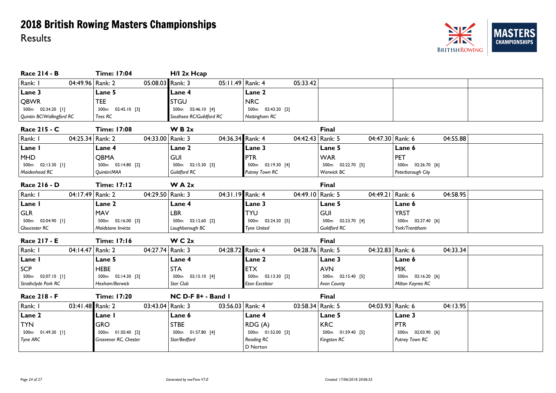#### NZ **MAST ERS CHAMPIONSHIPS BRITISH ROWING**

| Race 214 - B                | <b>Time: 17:04</b>    | H/I 2x Hcap              |                       |                   |                   |
|-----------------------------|-----------------------|--------------------------|-----------------------|-------------------|-------------------|
| Rank: I<br>04:49.96 Rank: 2 | 05:08.03 Rank: 3      | 05:11.49 Rank: 4         | 05:33.42              |                   |                   |
| Lane 3                      | Lane 5                | <b>Lane 4</b>            | Lane 2                |                   |                   |
| <b>QBWR</b>                 | <b>TEE</b>            | <b>STGU</b>              | <b>NRC</b>            |                   |                   |
| 500m 02:34.20 [1]           | 500m  02:45.10  [3]   | 500m 02:46.10 [4]        | 500m 02:43.20 [2]     |                   |                   |
| Quintin BC/Wallingford RC   | Tees RC               | Southsea RC/Guildford RC | Nottingham RC         |                   |                   |
| Race 215 - C                | <b>Time: 17:08</b>    | W B 2x                   |                       | <b>Final</b>      |                   |
| Rank: I<br>04:25.34 Rank: 2 | 04:33.00 Rank: 3      | 04:36.34 Rank: 4         | 04:42.43 Rank: 5      | 04:47.30 Rank: 6  | 04:55.88          |
| Lane I                      | Lane 4                | Lane 2                   | Lane 3                | Lane 5            | Lane 6            |
| <b>MHD</b>                  | <b>OBMA</b>           | <b>GUI</b>               | PTR                   | <b>WAR</b>        | PET               |
| 500m 02:13.30 [1]           | 500m 02:14.80 [2]     | 500m  02:15.30  [3]      | 500m  02:19.30 [4]    | 500m 02:22.70 [5] | 500m 02:26.70 [6] |
| Maidenhead RC               | Quintin/MAA           | Guildford RC             | Putney Town RC        | Warwick BC        | Peterborough City |
| Race 216 - D                | <b>Time: 17:12</b>    | W A 2x                   |                       | <b>Final</b>      |                   |
| Rank: I<br>04:17.49 Rank: 2 | 04:29.50 Rank: 3      | 04:31.19 Rank: 4         | 04:49.10 Rank: 5      | 04:49.21 Rank: 6  | 04:58.95          |
| Lane I                      | Lane 2                | Lane 4                   | Lane 3                | Lane 5            | Lane 6            |
| <b>GLR</b>                  | <b>MAV</b>            | <b>LBR</b>               | <b>TYU</b>            | <b>GUI</b>        | <b>YRST</b>       |
| 500m 02:04.90 [1]           | 500m 02:16.00 [3]     | 500m  02:12.60  [2]      | 500m  02:24.20  [5]   | 500m 02:23.70 [4] | 500m 02:27.40 [6] |
| Gloucester RC               | Maidstone Invicta     | Loughborough BC          | <b>Tyne United</b>    | Guildford RC      | York/Trenttham    |
| <b>Race 217 - E</b>         | <b>Time: 17:16</b>    | W C 2x                   |                       | <b>Final</b>      |                   |
| 04:14.47 Rank: 2<br>Rank: I | 04:27.74 Rank: 3      | 04:28.72 Rank: 4         | 04:28.76   Rank: 5    | 04:32.83 Rank: 6  | 04:33.34          |
| Lane I                      | Lane 5                | Lane 4                   | Lane 2                | Lane 3            | Lane 6            |
| <b>SCP</b>                  | <b>HEBE</b>           | <b>STA</b>               | <b>ETX</b>            | <b>AVN</b>        | <b>MIK</b>        |
| 500m 02:07.10 [1]           | 500m 02:14.30 [3]     | 500m  02:15.10 [4]       | 500m  02:13.30  [2]   | 500m 02:15.40 [5] | 500m 02:16.20 [6] |
| Strathclyde Park RC         | Hexham/Berwick        | Star Club                | <b>Eton Excelsior</b> | Avon County       | Milton Keynes RC  |
| Race 218 - F                | <b>Time: 17:20</b>    | NC D-F 8+ - Band I       |                       | <b>Final</b>      |                   |
| Rank: I<br>03:41.48 Rank: 2 | 03:43.04 Rank: 3      | 03:56.03   Rank: 4       | 03:58.34   Rank: 5    | 04:03.93 Rank: 6  | 04:13.95          |
| Lane 2                      | Lane I                | Lane 6                   | Lane 4                | Lane 5            | Lane 3            |
| <b>TYN</b>                  | GRO                   | <b>STBE</b>              | RDG(A)                | <b>KRC</b>        | <b>PTR</b>        |
| 500m  01:49.30 [1]          | 500m  01:50.40  [2]   | 500m  01:57.80 [4]       | 500m 01:52.00 [3]     | 500m 01:59.40 [5] | 500m 02:03.90 [6] |
| Tyne ARC                    | Grosvenor RC, Chester | Star/Bedford             | Reading RC            | Kingston RC       | Putney Town RC    |
|                             |                       |                          | D Norton              |                   |                   |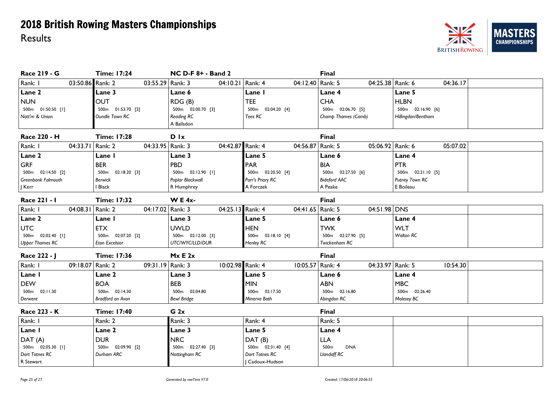

| Race 219 - G              |                    | <b>Time: 17:24</b>    |                    | <b>NC D-F 8+ - Band 2</b> |                  |                     |                    | <b>Final</b>                   |                  |                     |          |
|---------------------------|--------------------|-----------------------|--------------------|---------------------------|------------------|---------------------|--------------------|--------------------------------|------------------|---------------------|----------|
| Rank: I                   | 03:50.86 Rank: 2   |                       | 03:55.29 Rank: 3   |                           | 04:10.21 Rank: 4 |                     | 04:12.40 Rank: 5   |                                | 04:25.38 Rank: 6 |                     | 04:36.17 |
| Lane 2                    |                    | Lane 3                |                    | Lane 6                    |                  | Lane I              |                    | Lane 4                         |                  | Lane 5              |          |
| <b>NUN</b>                |                    | <b>OUT</b>            |                    | RDG (B)                   |                  | <b>TEE</b>          |                    | <b>CHA</b>                     |                  | <b>HLBN</b>         |          |
| 500m 01:50.50 [1]         |                    | 500m 01:53.70 [2]     |                    | 500m 02:00.70 [3]         |                  | 500m 02:04.20 [4]   |                    | 500m 02:06.70 [5]              |                  | 500m 02:16.90 [6]   |          |
| Nott'm & Union            |                    | Oundle Town RC        |                    | <b>Reading RC</b>         |                  | Tees RC             |                    | Champ Thames (Camb)            |                  | Hillingdon/Bentham  |          |
|                           |                    |                       |                    | A Ballsdon                |                  |                     |                    |                                |                  |                     |          |
| Race 220 - H              |                    | <b>Time: 17:28</b>    |                    | D Ix                      |                  |                     |                    | <b>Final</b>                   |                  |                     |          |
| Rank: I                   | 04:33.71   Rank: 2 |                       | 04:33.95   Rank: 3 |                           | 04:42.87 Rank: 4 |                     | 04:56.87 Rank: 5   |                                | 05:06.92 Rank: 6 |                     | 05:07.02 |
| Lane 2                    |                    | Lane I                |                    | Lane 3                    |                  | Lane 5              |                    | Lane 6                         |                  | Lane 4              |          |
| <b>GRF</b>                |                    | <b>BER</b>            |                    | PBD                       |                  | <b>PAR</b>          |                    | <b>BIA</b>                     |                  | <b>PTR</b>          |          |
| 500m 02:14.50 [2]         |                    | 500m 02:18.20 [3]     |                    | 500m  02:12.90  [1]       |                  | 500m 02:20.50 [4]   |                    | 500m  02:27.50  [6]            |                  | 500m  02:21.10  [5] |          |
| <b>Greenbank Falmouth</b> |                    | <b>Berwick</b>        |                    | Poplar Blackwall          |                  | Parr's Priory RC    |                    | <b>Bideford AAC</b>            |                  | Putney Town RC      |          |
| J Kerr                    |                    | Black                 |                    | R Humphrey                |                  | A Forczek           |                    | A Peake                        |                  | E Boileau           |          |
| Race 221 - 1              |                    | <b>Time: 17:32</b>    |                    | <b>WE 4x-</b>             |                  |                     |                    | <b>Final</b>                   |                  |                     |          |
| Rank: I                   | 04:08.31   Rank: 2 |                       | 04:17.02 Rank: 3   |                           | 04:25.13 Rank: 4 |                     | 04:41.65   Rank: 5 |                                | 04:51.98 DNS     |                     |          |
| Lane 2                    |                    | Lane I                |                    | Lane 3                    |                  | Lane 5              |                    | Lane 6                         |                  | Lane 4              |          |
| <b>UTC</b>                |                    | <b>ETX</b>            |                    | <b>UWLD</b>               |                  | <b>HEN</b>          |                    | <b>TWK</b>                     |                  | <b>WLT</b>          |          |
| 500m 02:02.40 [1]         |                    | 500m<br>02:07.20 [2]  |                    | 500m 02:12.00 [3]         |                  | 500m  02:18.10 [4]  |                    | 500m 02:27.90 [5]              |                  | <b>Walton RC</b>    |          |
| <b>Upper Thames RC</b>    |                    | <b>Eton Excelsior</b> |                    | UTC/WYC/LLD/DUR           |                  | Henley RC           |                    | Twickenham RC                  |                  |                     |          |
| Race 222 - J              |                    | <b>Time: 17:36</b>    |                    | Mx E 2x                   |                  |                     |                    | <b>Final</b>                   |                  |                     |          |
| Rank: I                   | 09:18.07 Rank: 2   |                       | 09:31.19 Rank: 3   |                           | 10:02.98 Rank: 4 |                     | 10:05.57 Rank: 4   |                                | 04:33.97 Rank: 5 |                     | 10:54.30 |
| Lane I                    |                    | Lane 2                |                    | Lane 3                    |                  | Lane 5              |                    | Lane 6                         |                  | Lane 4              |          |
| <b>DEW</b>                |                    | <b>BOA</b>            |                    | <b>BEB</b>                |                  | <b>MIN</b>          |                    | <b>ABN</b>                     |                  | <b>MBC</b>          |          |
| 500m 02:11.30             |                    | 500m 02:14.30         |                    | 500m 02:04.80             |                  | 500m 02:17.50       |                    | 500m 02:16.80                  |                  | 500m 02:26.40       |          |
| Derwent                   |                    | Bradford on Avon      |                    | <b>Bewl Bridge</b>        |                  | Minerva Bath        |                    | Abingdon RC                    |                  | Molesey BC          |          |
| Race 223 - K              |                    | <b>Time: 17:40</b>    |                    | G <sub>2x</sub>           |                  |                     |                    | <b>Final</b>                   |                  |                     |          |
| Rank: I                   |                    | Rank: 2               |                    | Rank: 3                   |                  | Rank: 4             |                    | Rank: 5                        |                  |                     |          |
| Lane I                    |                    | Lane 2                |                    | Lane 3                    |                  | Lane 5              |                    | Lane 4                         |                  |                     |          |
| DAT (A)                   |                    | <b>DUR</b>            |                    | <b>NRC</b>                |                  | DAT(B)              |                    | <b>LLA</b>                     |                  |                     |          |
| 500m 02:05.30 [1]         |                    | 500m 02:09.90 [2]     |                    | 500m 02:27.40 [3]         |                  | 500m  02:31.40  [4] |                    | 500 <sub>m</sub><br><b>DNA</b> |                  |                     |          |
| Dart Totnes RC            |                    | Durham ARC            |                    | Nottingham RC             |                  | Dart Totnes RC      |                    | <b>Llandaff RC</b>             |                  |                     |          |
| R Stewart                 |                    |                       |                    |                           |                  | Cadoux-Hudson       |                    |                                |                  |                     |          |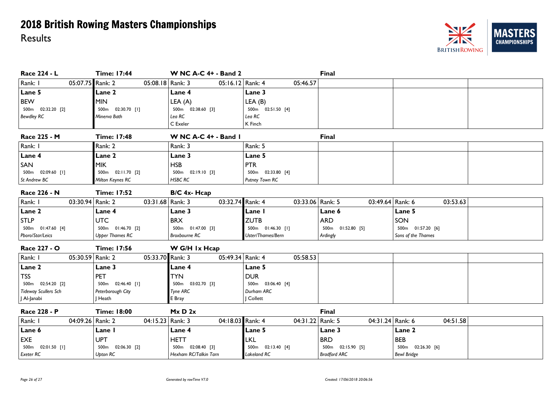

| Race 224 - L                                                           | <b>Time: 17:44</b>     | <b>W NC A-C 4+ - Band 2</b> |                    | Final               |                    |  |  |  |
|------------------------------------------------------------------------|------------------------|-----------------------------|--------------------|---------------------|--------------------|--|--|--|
| Rank: I<br>05:07.75 Rank: 2                                            | 05:08.18 Rank: 3       | 05:16.12 Rank: 4            | 05:46.57           |                     |                    |  |  |  |
| Lane 5                                                                 | <b>Lane 2</b>          | Lane 4                      | Lane 3             |                     |                    |  |  |  |
| <b>BEW</b>                                                             | <b>MIN</b>             | LEA (A)                     | LEA(B)             |                     |                    |  |  |  |
| 500m  02:32.20  [2]                                                    | 02:30.70 [1]<br>500m   | 500m 02:38.60 [3]           | 500m  02:51.50 [4] |                     |                    |  |  |  |
| <b>Bewdley RC</b>                                                      | Minerva Bath           | Lea RC                      | Lea RC             |                     |                    |  |  |  |
|                                                                        |                        | C Exeler                    | K Finch            |                     |                    |  |  |  |
| Race 225 - M                                                           | <b>Time: 17:48</b>     | W NC A-C 4+ - Band I        |                    | <b>Final</b>        |                    |  |  |  |
| Rank: I                                                                | Rank: 2                | Rank: 3                     | Rank: 5            |                     |                    |  |  |  |
| Lane 4                                                                 | <b>Lane 2</b>          | Lane 3                      | Lane 5             |                     |                    |  |  |  |
| SAN                                                                    | <b>MIK</b>             | <b>HSB</b>                  | <b>PTR</b>         |                     |                    |  |  |  |
| 500m 02:09.60 [1]                                                      | 500m  02:11.70  [2]    | 500m  02:19.10  [3]         | 500m 02:33.80 [4]  |                     |                    |  |  |  |
| St Andrew BC                                                           | Milton Keynes RC       | <b>HSBC RC</b>              | Putney Town RC     |                     |                    |  |  |  |
| Race 226 - N                                                           | <b>Time: 17:52</b>     | B/C 4x- Hcap                |                    |                     |                    |  |  |  |
| Rank: I<br>03:30.94 Rank: 2                                            | 03:31.68 Rank: 3       | 03:32.74 Rank: 4            | 03:33.06   Rank: 5 | 03:49.64 Rank: 6    | 03:53.63           |  |  |  |
| Lane 2                                                                 | Lane 4                 | Lane 3                      | Lane I             | Lane 6              | Lane 5             |  |  |  |
| <b>STLP</b>                                                            | <b>UTC</b>             | <b>BRX</b>                  | <b>ZUTB</b>        | <b>ARD</b>          | SON                |  |  |  |
| 500m  01:47.60 [4]                                                     | 500m 01:46.70 [2]      | 500m  01:47.00  [3]         | 500m  01:46.30 [1] | 500m  01:52.80  [5] | 500m 01:57.20 [6]  |  |  |  |
| Pboro/Star/Leics                                                       | <b>Upper Thames RC</b> | <b>Broxbourne RC</b>        | Uster/Thames/Bern  | Ardingly            | Sons of the Thames |  |  |  |
| Race 227 - O<br><b>Time: 17:56</b><br>W G/H 1x Hcap                    |                        |                             |                    |                     |                    |  |  |  |
| Rank: I<br>05:30.59 Rank: 2                                            | 05:33.70 Rank: 3       | 05:49.34 Rank: 4            | 05:58.53           |                     |                    |  |  |  |
| Lane 2                                                                 | Lane 3                 | <b>Lane 4</b>               | Lane 5             |                     |                    |  |  |  |
| <b>TSS</b>                                                             | PET                    | <b>TYN</b>                  | <b>DUR</b>         |                     |                    |  |  |  |
| 500m 02:54.20 [2]                                                      | 500m  02:46.40 [1]     | 500m 03:02.70 [3]           | 500m 03:06.40 [4]  |                     |                    |  |  |  |
| Tideway Scullers Sch                                                   | Peterborough City      | Tyne ARC                    | Durham ARC         |                     |                    |  |  |  |
| J Al-Janabi                                                            | Heath                  | E Bray                      | Collett            |                     |                    |  |  |  |
| Race 228 - P<br><b>Time: 18:00</b><br>$M \times D$ 2 $\times$<br>Final |                        |                             |                    |                     |                    |  |  |  |
| Rank: I<br>04:09.26 Rank: 2                                            | 04:15.23 Rank: 3       | 04:18.03 Rank: 4            | 04:31.22 Rank: 5   | 04:31.24 Rank: 6    | 04:51.58           |  |  |  |
| Lane 6                                                                 | Lane I                 | Lane 4                      | Lane 5             | Lane 3              | Lane 2             |  |  |  |
| EXE                                                                    | <b>UPT</b>             | <b>HETT</b>                 | <b>LKL</b>         | <b>BRD</b>          | <b>BEB</b>         |  |  |  |
| 500m 02:01.50 [1]                                                      | 500m 02:06.30 [2]      | 500m 02:08.40 [3]           | 500m 02:13.40 [4]  | 500m 02:15.90 [5]   | 500m 02:26.30 [6]  |  |  |  |
| <b>Exeter RC</b>                                                       | Upton RC               | Hexham RC/Talkin Tarn       | Lakeland RC        | <b>Bradford ARC</b> | <b>Bewl Bridge</b> |  |  |  |